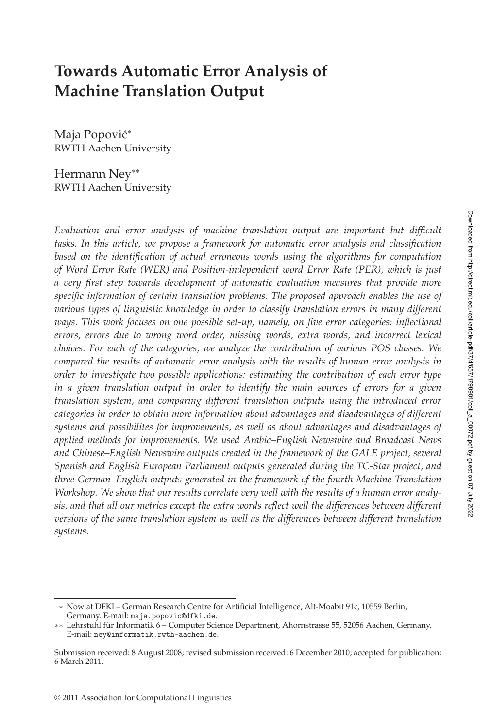# **Towards Automatic Error Analysis of Machine Translation Output**

Maja Popović<sup>\*</sup> RWTH Aachen University

Hermann Ney∗∗ RWTH Aachen University

*Evaluation and error analysis of machine translation output are important but difficult tasks. In this article, we propose a framework for automatic error analysis and classification based on the identification of actual erroneous words using the algorithms for computation of Word Error Rate (WER) and Position-independent word Error Rate (PER), which is just a very first step towards development of automatic evaluation measures that provide more specific information of certain translation problems. The proposed approach enables the use of various types of linguistic knowledge in order to classify translation errors in many different ways. This work focuses on one possible set-up, namely, on five error categories: inflectional errors, errors due to wrong word order, missing words, extra words, and incorrect lexical choices. For each of the categories, we analyze the contribution of various POS classes. We compared the results of automatic error analysis with the results of human error analysis in order to investigate two possible applications: estimating the contribution of each error type in a given translation output in order to identify the main sources of errors for a given translation system, and comparing different translation outputs using the introduced error categories in order to obtain more information about advantages and disadvantages of different systems and possibilites for improvements, as well as about advantages and disadvantages of applied methods for improvements. We used Arabic–English Newswire and Broadcast News and Chinese–English Newswire outputs created in the framework of the GALE project, several Spanish and English European Parliament outputs generated during the TC-Star project, and three German–English outputs generated in the framework of the fourth Machine Translation Workshop. We show that our results correlate very well with the results of a human error analysis, and that all our metrics except the extra words reflect well the differences between different versions of the same translation system as well as the differences between different translation systems.*

<sup>∗</sup> Now at DFKI – German Research Centre for Artificial Intelligence, Alt-Moabit 91c, 10559 Berlin, Germany. E-mail: maja.popovic@dfki.de.

<sup>∗∗</sup> Lehrstuhl fur Informatik 6 – Computer Science Department, Ahornstrasse 55, 52056 Aachen, Germany. ¨ E-mail: ney@informatik.rwth-aachen.de.

Submission received: 8 August 2008; revised submission received: 6 December 2010; accepted for publication: 6 March 2011.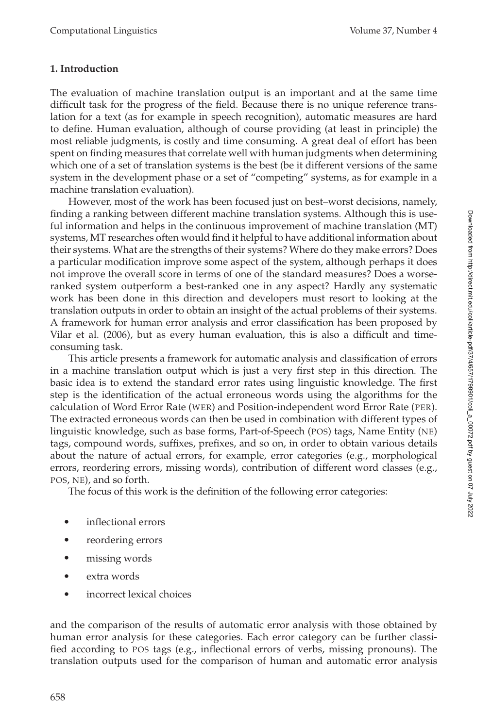# **1. Introduction**

The evaluation of machine translation output is an important and at the same time difficult task for the progress of the field. Because there is no unique reference translation for a text (as for example in speech recognition), automatic measures are hard to define. Human evaluation, although of course providing (at least in principle) the most reliable judgments, is costly and time consuming. A great deal of effort has been spent on finding measures that correlate well with human judgments when determining which one of a set of translation systems is the best (be it different versions of the same system in the development phase or a set of "competing" systems, as for example in a machine translation evaluation).

However, most of the work has been focused just on best–worst decisions, namely, finding a ranking between different machine translation systems. Although this is useful information and helps in the continuous improvement of machine translation (MT) systems, MT researches often would find it helpful to have additional information about their systems. What are the strengths of their systems? Where do they make errors? Does a particular modification improve some aspect of the system, although perhaps it does not improve the overall score in terms of one of the standard measures? Does a worseranked system outperform a best-ranked one in any aspect? Hardly any systematic work has been done in this direction and developers must resort to looking at the translation outputs in order to obtain an insight of the actual problems of their systems. A framework for human error analysis and error classification has been proposed by Vilar et al. (2006), but as every human evaluation, this is also a difficult and timeconsuming task.

This article presents a framework for automatic analysis and classification of errors in a machine translation output which is just a very first step in this direction. The basic idea is to extend the standard error rates using linguistic knowledge. The first step is the identification of the actual erroneous words using the algorithms for the calculation of Word Error Rate (WER) and Position-independent word Error Rate (PER). The extracted erroneous words can then be used in combination with different types of linguistic knowledge, such as base forms, Part-of-Speech (POS) tags, Name Entity (NE) tags, compound words, suffixes, prefixes, and so on, in order to obtain various details about the nature of actual errors, for example, error categories (e.g., morphological errors, reordering errors, missing words), contribution of different word classes (e.g., POS, NE), and so forth.

The focus of this work is the definition of the following error categories:

- inflectional errors
- $\bullet$ reordering errors
- missing words
- extra words
- incorrect lexical choices

and the comparison of the results of automatic error analysis with those obtained by human error analysis for these categories. Each error category can be further classified according to POS tags (e.g., inflectional errors of verbs, missing pronouns). The translation outputs used for the comparison of human and automatic error analysis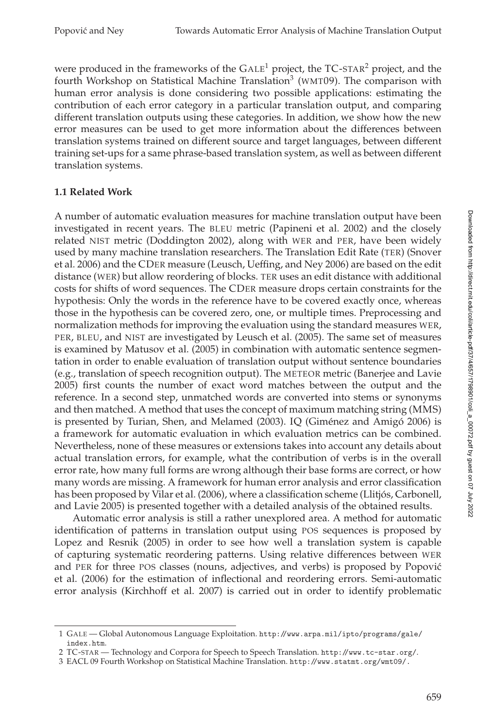were produced in the frameworks of the  $GALE<sup>1</sup>$  project, the TC-STAR<sup>2</sup> project, and the fourth Workshop on Statistical Machine Translation<sup>3</sup> (WMT09). The comparison with human error analysis is done considering two possible applications: estimating the contribution of each error category in a particular translation output, and comparing different translation outputs using these categories. In addition, we show how the new error measures can be used to get more information about the differences between translation systems trained on different source and target languages, between different training set-ups for a same phrase-based translation system, as well as between different translation systems.

# **1.1 Related Work**

A number of automatic evaluation measures for machine translation output have been investigated in recent years. The BLEU metric (Papineni et al. 2002) and the closely related NIST metric (Doddington 2002), along with WER and PER, have been widely used by many machine translation researchers. The Translation Edit Rate (TER) (Snover et al. 2006) and the CDER measure (Leusch, Ueffing, and Ney 2006) are based on the edit distance (WER) but allow reordering of blocks. TER uses an edit distance with additional costs for shifts of word sequences. The CDER measure drops certain constraints for the hypothesis: Only the words in the reference have to be covered exactly once, whereas those in the hypothesis can be covered zero, one, or multiple times. Preprocessing and normalization methods for improving the evaluation using the standard measures WER, PER, BLEU, and NIST are investigated by Leusch et al. (2005). The same set of measures is examined by Matusov et al. (2005) in combination with automatic sentence segmentation in order to enable evaluation of translation output without sentence boundaries (e.g., translation of speech recognition output). The METEOR metric (Banerjee and Lavie 2005) first counts the number of exact word matches between the output and the reference. In a second step, unmatched words are converted into stems or synonyms and then matched. A method that uses the concept of maximum matching string (MMS) is presented by Turian, Shen, and Melamed  $(2003)$ . IQ  $(Giménez and Amigó 2006)$  is a framework for automatic evaluation in which evaluation metrics can be combined. Nevertheless, none of these measures or extensions takes into account any details about actual translation errors, for example, what the contribution of verbs is in the overall error rate, how many full forms are wrong although their base forms are correct, or how many words are missing. A framework for human error analysis and error classification has been proposed by Vilar et al. (2006), where a classification scheme (Llitjós, Carbonell, and Lavie 2005) is presented together with a detailed analysis of the obtained results.

Automatic error analysis is still a rather unexplored area. A method for automatic identification of patterns in translation output using POS sequences is proposed by Lopez and Resnik (2005) in order to see how well a translation system is capable of capturing systematic reordering patterns. Using relative differences between WER and PER for three POS classes (nouns, adjectives, and verbs) is proposed by Popović et al. (2006) for the estimation of inflectional and reordering errors. Semi-automatic error analysis (Kirchhoff et al. 2007) is carried out in order to identify problematic

<sup>1</sup> GALE — Global Autonomous Language Exploitation. http://www.arpa.mil/ipto/programs/gale/ index.htm.

<sup>2</sup> TC-STAR — Technology and Corpora for Speech to Speech Translation. http://www.tc-star.org/.

<sup>3</sup> EACL 09 Fourth Workshop on Statistical Machine Translation. http://www.statmt.org/wmt09/.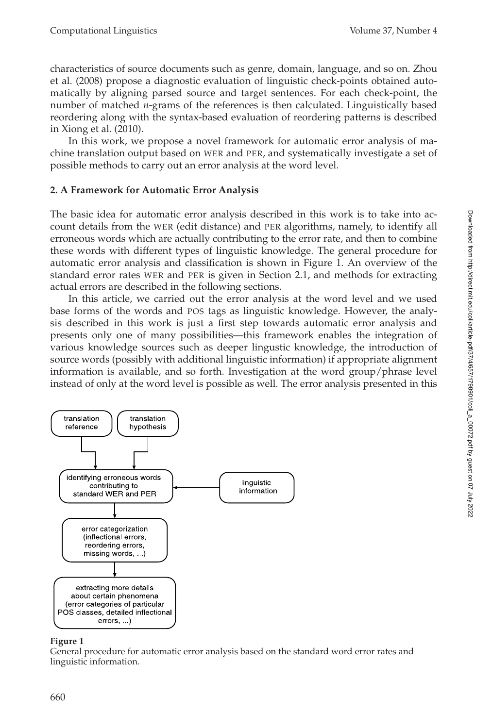characteristics of source documents such as genre, domain, language, and so on. Zhou et al. (2008) propose a diagnostic evaluation of linguistic check-points obtained automatically by aligning parsed source and target sentences. For each check-point, the number of matched *n*-grams of the references is then calculated. Linguistically based reordering along with the syntax-based evaluation of reordering patterns is described in Xiong et al. (2010).

In this work, we propose a novel framework for automatic error analysis of machine translation output based on WER and PER, and systematically investigate a set of possible methods to carry out an error analysis at the word level.

# **2. A Framework for Automatic Error Analysis**

The basic idea for automatic error analysis described in this work is to take into account details from the WER (edit distance) and PER algorithms, namely, to identify all erroneous words which are actually contributing to the error rate, and then to combine these words with different types of linguistic knowledge. The general procedure for automatic error analysis and classification is shown in Figure 1. An overview of the standard error rates WER and PER is given in Section 2.1, and methods for extracting actual errors are described in the following sections.

In this article, we carried out the error analysis at the word level and we used base forms of the words and POS tags as linguistic knowledge. However, the analysis described in this work is just a first step towards automatic error analysis and presents only one of many possibilities—this framework enables the integration of various knowledge sources such as deeper lingustic knowledge, the introduction of source words (possibly with additional linguistic information) if appropriate alignment information is available, and so forth. Investigation at the word group/phrase level instead of only at the word level is possible as well. The error analysis presented in this



## **Figure 1**

General procedure for automatic error analysis based on the standard word error rates and linguistic information.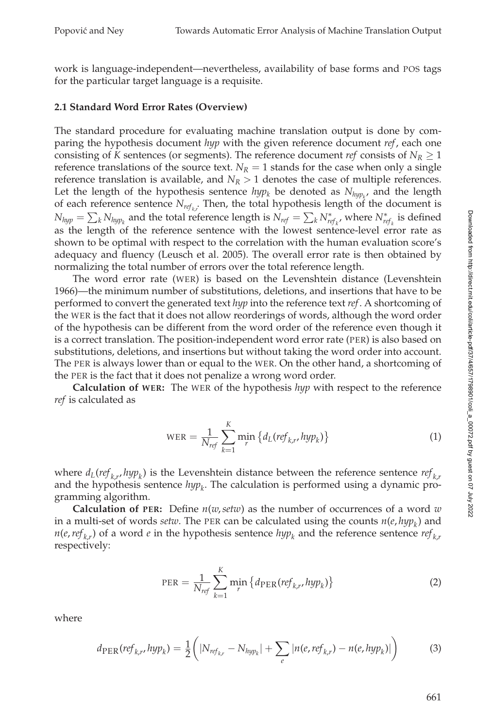work is language-independent—nevertheless, availability of base forms and POS tags for the particular target language is a requisite.

## **2.1 Standard Word Error Rates (Overview)**

The standard procedure for evaluating machine translation output is done by comparing the hypothesis document *hyp* with the given reference document *ref*, each one consisting of *K* sentences (or segments). The reference document *ref* consists of  $N_R \geq 1$ reference translations of the source text.  $N_R = 1$  stands for the case when only a single reference translation is available, and  $N_R > 1$  denotes the case of multiple references. Let the length of the hypothesis sentence  $hyp_k$  be denoted as  $N_{hyp_k}$ , and the length of each reference sentence  $N_{ref_{k,r}}$ . Then, the total hypothesis length of the document is  $N_{hyp} = \sum_k N_{hyp_k}$  and the total reference length is  $N_{ref} = \sum_k N^*_{ref_k}$ , where  $N^*_{ref_k}$  is defined as the length of the reference sentence with the lowest sentence-level error rate as shown to be optimal with respect to the correlation with the human evaluation score's adequacy and fluency (Leusch et al. 2005). The overall error rate is then obtained by normalizing the total number of errors over the total reference length.

The word error rate (WER) is based on the Levenshtein distance (Levenshtein 1966)—the minimum number of substitutions, deletions, and insertions that have to be performed to convert the generated text *hyp* into the reference text *ref*. A shortcoming of the WER is the fact that it does not allow reorderings of words, although the word order of the hypothesis can be different from the word order of the reference even though it is a correct translation. The position-independent word error rate (PER) is also based on substitutions, deletions, and insertions but without taking the word order into account. The PER is always lower than or equal to the WER. On the other hand, a shortcoming of the PER is the fact that it does not penalize a wrong word order.

**Calculation of WER:** The WER of the hypothesis *hyp* with respect to the reference *ref* is calculated as

$$
WER = \frac{1}{N_{ref}} \sum_{k=1}^{K} \min_{r} \left\{ d_{L}(ref_{k,r}, hyp_{k}) \right\}
$$
 (1)

where  $d_L(ref_{k,r}, hyp_k)$  is the Levenshtein distance between the reference sentence  $ref_{k,r}$ and the hypothesis sentence  $hyp_k$ . The calculation is performed using a dynamic programming algorithm.

**Calculation of PER:** Define *n*(*w*,*setw*) as the number of occurrences of a word *w* in a multi-set of words *setw*. The PER can be calculated using the counts  $n(e, hyp_k)$  and  $n(e, ref_{k,r})$  of a word *e* in the hypothesis sentence  $hyp_k$  and the reference sentence  $ref_k$ , respectively:

PER = 
$$
\frac{1}{N_{ref}} \sum_{k=1}^{K} \min_{r} \left\{ d_{PER}(ref_{k,r}, hyp_k) \right\}
$$
 (2)

where

$$
d_{\text{PER}}(\text{ref}_{k,r}, hyp_k) = \frac{1}{2} \bigg( |N_{\text{ref}_{k,r}} - N_{hyp_k}| + \sum_{e} |n(e, \text{ref}_{k,r}) - n(e, hyp_k)| \bigg) \tag{3}
$$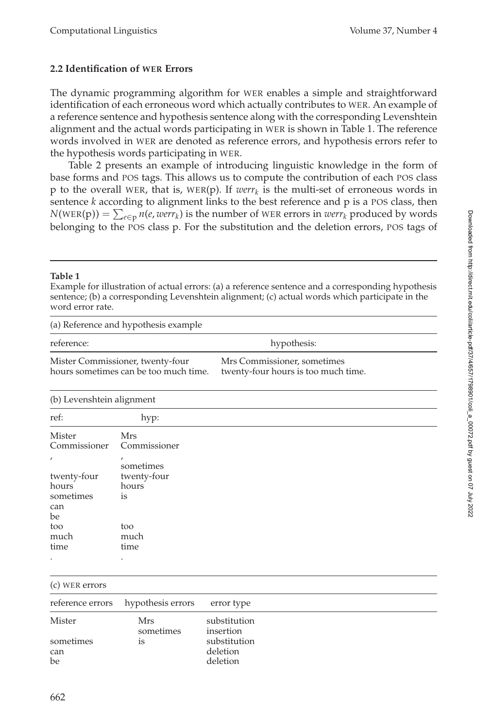# **2.2 Identification of WER Errors**

The dynamic programming algorithm for WER enables a simple and straightforward identification of each erroneous word which actually contributes to WER. An example of a reference sentence and hypothesis sentence along with the corresponding Levenshtein alignment and the actual words participating in WER is shown in Table 1. The reference words involved in WER are denoted as reference errors, and hypothesis errors refer to the hypothesis words participating in WER.

Table 2 presents an example of introducing linguistic knowledge in the form of base forms and POS tags. This allows us to compute the contribution of each POS class p to the overall WER, that is, WER(p). If *werr<sub>k</sub>* is the multi-set of erroneous words in sentence *k* according to alignment links to the best reference and p is a POS class, then  $N(\text{WER}(p)) = \sum_{e \in p} n(e, \text{werr}_k)$  is the number of WER errors in  $\text{werr}_k$  produced by words belonging to the POS class p. For the substitution and the deletion errors, POS tags of

#### **Table 1**

Example for illustration of actual errors: (a) a reference sentence and a corresponding hypothesis sentence; (b) a corresponding Levenshtein alignment; (c) actual words which participate in the word error rate.

|  |  | (a) Reference and hypothesis example |  |
|--|--|--------------------------------------|--|
|  |  |                                      |  |

#### reference: hypothesis:

Mister Commissioner, twenty-four Mrs Commissioner, sometimes

twenty-four hours is too much time.

|  | (b) Levenshtein alignment |  |
|--|---------------------------|--|
|--|---------------------------|--|

| ref:        | hyp:                      |  |  |
|-------------|---------------------------|--|--|
| Mister      | Mrs                       |  |  |
|             | Commissioner Commissioner |  |  |
| $\prime$    | $\prime$                  |  |  |
|             | sometimes                 |  |  |
| twenty-four | twenty-four               |  |  |
| hours       | hours                     |  |  |
| sometimes   | is                        |  |  |
| can         |                           |  |  |
| be          |                           |  |  |
| too         | too                       |  |  |
| much        | much                      |  |  |
| time        | time                      |  |  |
| $\Box$      |                           |  |  |

#### (c) WER errors

|           | reference errors hypothesis errors | error type                |
|-----------|------------------------------------|---------------------------|
| Mister    | Mrs                                | substitution              |
| sometimes | sometimes<br>1S                    | insertion<br>substitution |
| can<br>be |                                    | deletion<br>deletion      |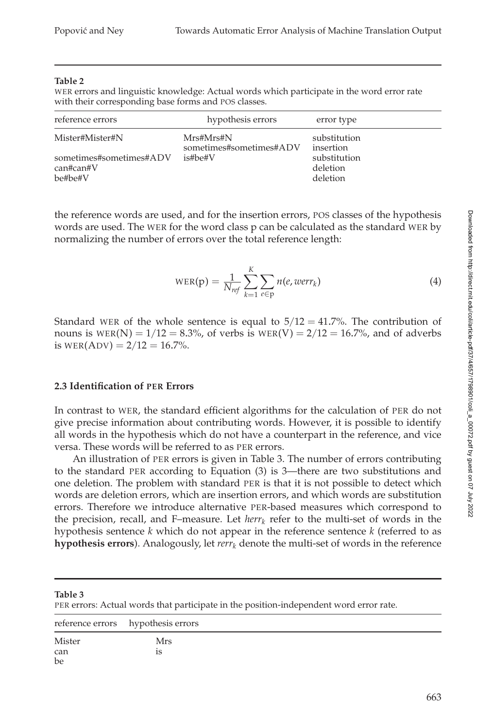WER errors and linguistic knowledge: Actual words which participate in the word error rate with their corresponding base forms and POS classes.

| reference errors                                       | hypothesis errors                    | error type                           |
|--------------------------------------------------------|--------------------------------------|--------------------------------------|
| Mister#Mister#N                                        | Mrs#Mrs#N<br>sometimes#sometimes#ADV | substitution<br>insertion            |
| sometimes#sometimes#ADV<br>$can \# can \#V$<br>be#be#V | is#be#V                              | substitution<br>deletion<br>deletion |

the reference words are used, and for the insertion errors, POS classes of the hypothesis words are used. The WER for the word class p can be calculated as the standard WER by normalizing the number of errors over the total reference length:

$$
WER(p) = \frac{1}{N_{ref}} \sum_{k=1}^{K} \sum_{e \in p} n(e, \text{werr}_k)
$$
\n(4)

Standard WER of the whole sentence is equal to  $5/12 = 41.7$ %. The contribution of nouns is  $WER(N) = 1/12 = 8.3%$ , of verbs is  $WER(V) = 2/12 = 16.7%$ , and of adverbs is  $WER(ADV) = 2/12 = 16.7\%$ .

## **2.3 Identification of PER Errors**

In contrast to WER, the standard efficient algorithms for the calculation of PER do not give precise information about contributing words. However, it is possible to identify all words in the hypothesis which do not have a counterpart in the reference, and vice versa. These words will be referred to as PER errors.

An illustration of PER errors is given in Table 3. The number of errors contributing to the standard PER according to Equation (3) is 3—there are two substitutions and one deletion. The problem with standard PER is that it is not possible to detect which words are deletion errors, which are insertion errors, and which words are substitution errors. Therefore we introduce alternative PER-based measures which correspond to the precision, recall, and F-measure. Let  $herr_k$  refer to the multi-set of words in the hypothesis sentence *k* which do not appear in the reference sentence *k* (referred to as **hypothesis errors**). Analogously, let *rerrk* denote the multi-set of words in the reference

| Table 3   |                                    | PER errors: Actual words that participate in the position-independent word error rate. |
|-----------|------------------------------------|----------------------------------------------------------------------------------------|
|           | reference errors hypothesis errors |                                                                                        |
| Mister    | <b>Mrs</b>                         |                                                                                        |
| can<br>be | 1S                                 |                                                                                        |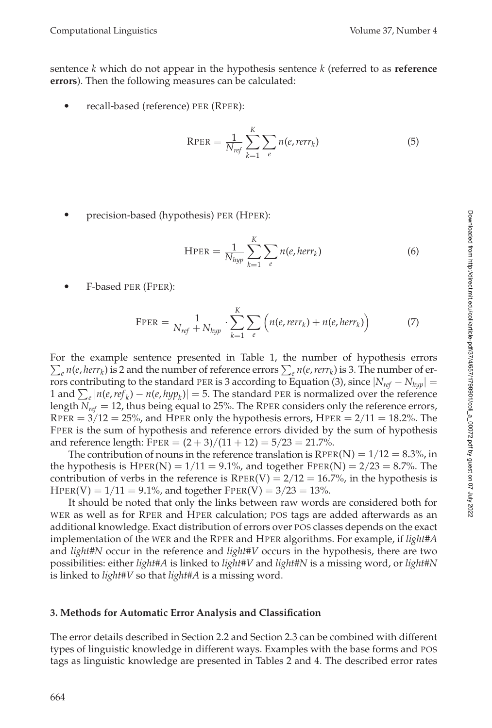Computational Linguistics Volume 37, Number 4

sentence *k* which do not appear in the hypothesis sentence *k* (referred to as **reference errors**). Then the following measures can be calculated:

recall-based (reference) PER (RPER):

$$
RPER = \frac{1}{N_{ref}} \sum_{k=1}^{K} \sum_{e} n(e, rerr_k)
$$
 (5)

precision-based (hypothesis) PER (HPER):

$$
HPER = \frac{1}{N_{hyp}} \sum_{k=1}^{K} \sum_{e} n(e, herr_k)
$$
 (6)

-F-based PER (FPER):

$$
\text{FPER} = \frac{1}{N_{\text{ref}} + N_{\text{hyp}}} \cdot \sum_{k=1}^{K} \sum_{e} \left( n(e, \text{rerr}_k) + n(e, \text{herr}_k) \right) \tag{7}
$$

 $\sum_{e} n(e, herr_k)$  is 2 and the number of reference errors  $\sum_{e} n(e, rerr_k)$  is 3. The number of er-For the example sentence presented in Table 1, the number of hypothesis errors rors contributing to the standard PER is 3 according to Equation (3), since |*Nref* − *Nhyp*| = 1 and  $\sum_{e} |n(e, ref_k) - n(e, hyp_k)| = 5$ . The standard PER is normalized over the reference length *Nref* = 12, thus being equal to 25%. The RPER considers only the reference errors, RPER  $= 3/12 = 25\%$ , and HPER only the hypothesis errors, HPER  $= 2/11 = 18.2\%$ . The FPER is the sum of hypothesis and reference errors divided by the sum of hypothesis and reference length: FPER =  $(2 + 3)/(11 + 12) = 5/23 = 21.7%$ .

The contribution of nouns in the reference translation is  $RPER(N) = 1/12 = 8.3\%$ , in the hypothesis is  $HPER(N) = 1/11 = 9.1\%$ , and together  $FPER(N) = 2/23 = 8.7\%$ . The contribution of verbs in the reference is  $RPER(V) = 2/12 = 16.7\%$ , in the hypothesis is  $HPER(V) = 1/11 = 9.1\%$ , and together  $FPER(V) = 3/23 = 13\%$ .

It should be noted that only the links between raw words are considered both for WER as well as for RPER and HPER calculation; POS tags are added afterwards as an additional knowledge. Exact distribution of errors over POS classes depends on the exact implementation of the WER and the RPER and HPER algorithms. For example, if *light#A* and *light#N* occur in the reference and *light#V* occurs in the hypothesis, there are two possibilities: either *light#A* is linked to *light#V* and *light#N* is a missing word, or *light#N* is linked to *light#V* so that *light#A* is a missing word.

## **3. Methods for Automatic Error Analysis and Classification**

The error details described in Section 2.2 and Section 2.3 can be combined with different types of linguistic knowledge in different ways. Examples with the base forms and POS tags as linguistic knowledge are presented in Tables 2 and 4. The described error rates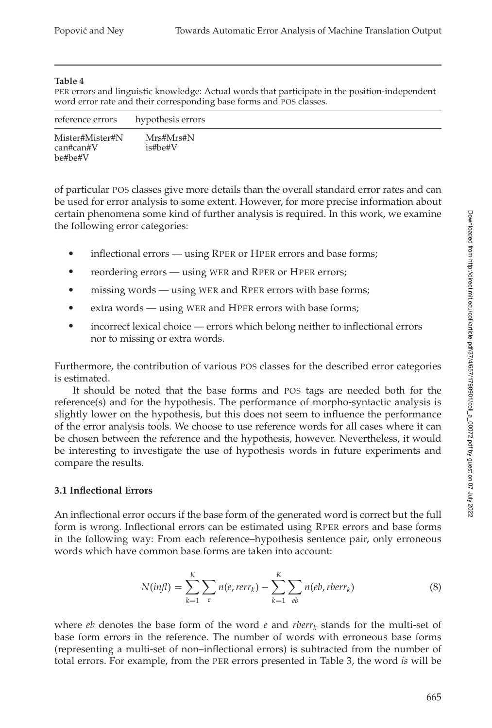PER errors and linguistic knowledge: Actual words that participate in the position-independent word error rate and their corresponding base forms and POS classes.

| reference errors                        | hypothesis errors    |  |
|-----------------------------------------|----------------------|--|
| Mister#Mister#N<br>can#can#V<br>be#be#V | Mrs#Mrs#N<br>is#be#V |  |

of particular POS classes give more details than the overall standard error rates and can be used for error analysis to some extent. However, for more precise information about certain phenomena some kind of further analysis is required. In this work, we examine the following error categories:

- inflectional errors — using RPER or HPER errors and base forms;
- reordering errors — using WER and RPER or HPER errors;
- $\bullet$ missing words — using WER and RPER errors with base forms;
- $\bullet$ extra words — using WER and HPER errors with base forms;
- incorrect lexical choice — errors which belong neither to inflectional errors nor to missing or extra words.

Furthermore, the contribution of various POS classes for the described error categories is estimated.

It should be noted that the base forms and POS tags are needed both for the reference(s) and for the hypothesis. The performance of morpho-syntactic analysis is slightly lower on the hypothesis, but this does not seem to influence the performance of the error analysis tools. We choose to use reference words for all cases where it can be chosen between the reference and the hypothesis, however. Nevertheless, it would be interesting to investigate the use of hypothesis words in future experiments and compare the results.

# **3.1 Inflectional Errors**

An inflectional error occurs if the base form of the generated word is correct but the full form is wrong. Inflectional errors can be estimated using RPER errors and base forms in the following way: From each reference–hypothesis sentence pair, only erroneous words which have common base forms are taken into account:

$$
N(infl) = \sum_{k=1}^{K} \sum_{e} n(e, rerr_k) - \sum_{k=1}^{K} \sum_{eb} n(eb, rberr_k)
$$
\n(8)

where *eb* denotes the base form of the word *e* and *rberr<sub>k</sub>* stands for the multi-set of base form errors in the reference. The number of words with erroneous base forms (representing a multi-set of non–inflectional errors) is subtracted from the number of total errors. For example, from the PER errors presented in Table 3, the word *is* will be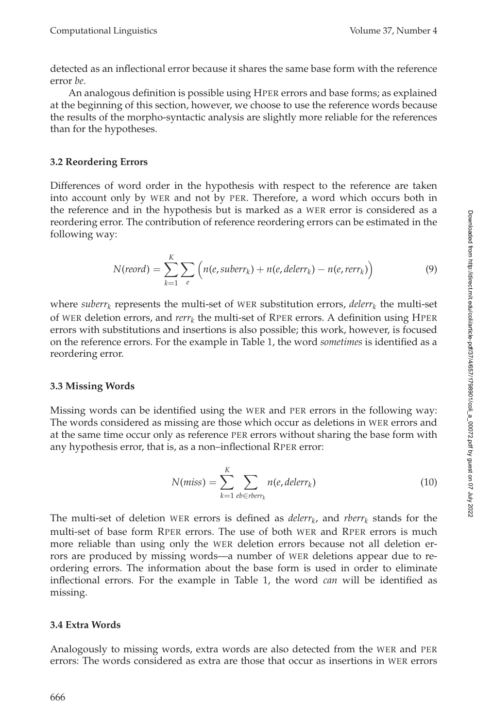detected as an inflectional error because it shares the same base form with the reference error *be*.

An analogous definition is possible using HPER errors and base forms; as explained at the beginning of this section, however, we choose to use the reference words because the results of the morpho-syntactic analysis are slightly more reliable for the references than for the hypotheses.

# **3.2 Reordering Errors**

Differences of word order in the hypothesis with respect to the reference are taken into account only by WER and not by PER. Therefore, a word which occurs both in the reference and in the hypothesis but is marked as a WER error is considered as a reordering error. The contribution of reference reordering errors can be estimated in the following way:

$$
N(reord) = \sum_{k=1}^{K} \sum_{e} \left( n(e, suberr_k) + n(e, delerr_k) - n(e, rerr_k) \right)
$$
(9)

where *suberr<sub>k</sub>* represents the multi-set of WER substitution errors, *delerr<sub>k</sub>* the multi-set of WER deletion errors, and *rerr<sub>k</sub>* the multi-set of RPER errors. A definition using HPER errors with substitutions and insertions is also possible; this work, however, is focused on the reference errors. For the example in Table 1, the word *sometimes* is identified as a reordering error.

## **3.3 Missing Words**

Missing words can be identified using the WER and PER errors in the following way: The words considered as missing are those which occur as deletions in WER errors and at the same time occur only as reference PER errors without sharing the base form with any hypothesis error, that is, as a non–inflectional RPER error:

$$
N(miss) = \sum_{k=1}^{K} \sum_{eb \in rberr_k} n(e, delerr_k)
$$
\n(10)

The multi-set of deletion WER errors is defined as *delerr<sub>k</sub>*, and *rberr<sub>k</sub>* stands for the multi-set of base form RPER errors. The use of both WER and RPER errors is much more reliable than using only the WER deletion errors because not all deletion errors are produced by missing words—a number of WER deletions appear due to reordering errors. The information about the base form is used in order to eliminate inflectional errors. For the example in Table 1, the word *can* will be identified as missing.

# **3.4 Extra Words**

Analogously to missing words, extra words are also detected from the WER and PER errors: The words considered as extra are those that occur as insertions in WER errors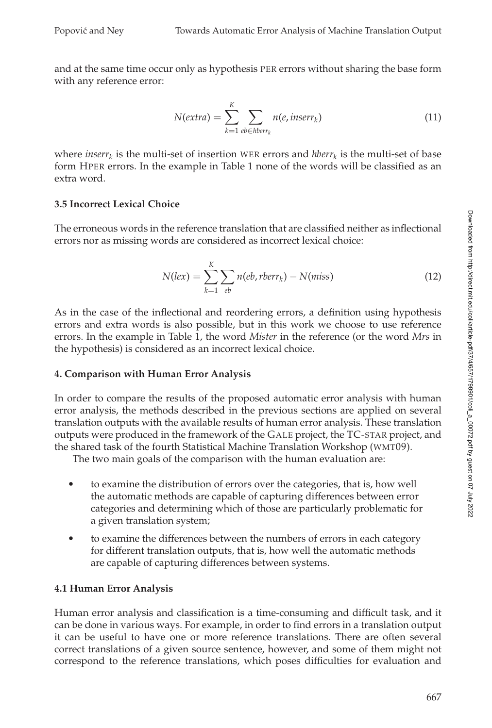and at the same time occur only as hypothesis PER errors without sharing the base form with any reference error:

$$
N(extra) = \sum_{k=1}^{K} \sum_{eb \in hberr_k} n(e, inserr_k)
$$
\n(11)

where *inserr<sub>k</sub>* is the multi-set of insertion WER errors and *hberr<sub>k</sub>* is the multi-set of base form HPER errors. In the example in Table 1 none of the words will be classified as an extra word.

# **3.5 Incorrect Lexical Choice**

The erroneous words in the reference translation that are classified neither as inflectional errors nor as missing words are considered as incorrect lexical choice:

$$
N(lex) = \sum_{k=1}^{K} \sum_{eb} n(eb, rberr_k) - N(miss)
$$
 (12)

As in the case of the inflectional and reordering errors, a definition using hypothesis errors and extra words is also possible, but in this work we choose to use reference errors. In the example in Table 1, the word *Mister* in the reference (or the word *Mrs* in the hypothesis) is considered as an incorrect lexical choice.

# **4. Comparison with Human Error Analysis**

In order to compare the results of the proposed automatic error analysis with human error analysis, the methods described in the previous sections are applied on several translation outputs with the available results of human error analysis. These translation outputs were produced in the framework of the GALE project, the TC-STAR project, and the shared task of the fourth Statistical Machine Translation Workshop (WMT09).

The two main goals of the comparison with the human evaluation are:

- to examine the distribution of errors over the categories, that is, how well the automatic methods are capable of capturing differences between error categories and determining which of those are particularly problematic for a given translation system;
- to examine the differences between the numbers of errors in each category for different translation outputs, that is, how well the automatic methods are capable of capturing differences between systems.

# **4.1 Human Error Analysis**

Human error analysis and classification is a time-consuming and difficult task, and it can be done in various ways. For example, in order to find errors in a translation output it can be useful to have one or more reference translations. There are often several correct translations of a given source sentence, however, and some of them might not correspond to the reference translations, which poses difficulties for evaluation and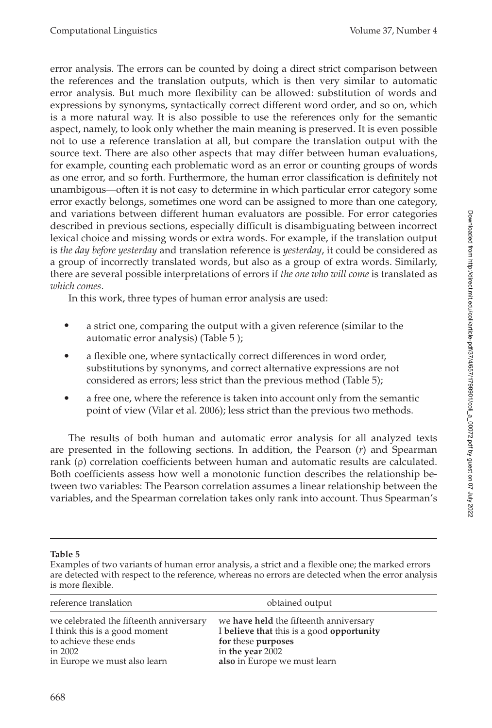error analysis. The errors can be counted by doing a direct strict comparison between the references and the translation outputs, which is then very similar to automatic error analysis. But much more flexibility can be allowed: substitution of words and expressions by synonyms, syntactically correct different word order, and so on, which is a more natural way. It is also possible to use the references only for the semantic aspect, namely, to look only whether the main meaning is preserved. It is even possible not to use a reference translation at all, but compare the translation output with the source text. There are also other aspects that may differ between human evaluations, for example, counting each problematic word as an error or counting groups of words as one error, and so forth. Furthermore, the human error classification is definitely not unambigous—often it is not easy to determine in which particular error category some error exactly belongs, sometimes one word can be assigned to more than one category, and variations between different human evaluators are possible. For error categories described in previous sections, especially difficult is disambiguating between incorrect lexical choice and missing words or extra words. For example, if the translation output is *the day before yesterday* and translation reference is *yesterday*, it could be considered as a group of incorrectly translated words, but also as a group of extra words. Similarly, there are several possible interpretations of errors if *the one who will come* is translated as *which comes*.

In this work, three types of human error analysis are used:

- a strict one, comparing the output with a given reference (similar to the automatic error analysis) (Table 5 );
- a flexible one, where syntactically correct differences in word order, substitutions by synonyms, and correct alternative expressions are not considered as errors; less strict than the previous method (Table 5);
- a free one, where the reference is taken into account only from the semantic point of view (Vilar et al. 2006); less strict than the previous two methods.

The results of both human and automatic error analysis for all analyzed texts are presented in the following sections. In addition, the Pearson (*r*) and Spearman rank (ρ) correlation coefficients between human and automatic results are calculated. Both coefficients assess how well a monotonic function describes the relationship between two variables: The Pearson correlation assumes a linear relationship between the variables, and the Spearman correlation takes only rank into account. Thus Spearman's

#### **Table 5**

Examples of two variants of human error analysis, a strict and a flexible one; the marked errors are detected with respect to the reference, whereas no errors are detected when the error analysis is more flexible.

| reference translation                                                                                                                        | obtained output                                                                                                                                               |  |
|----------------------------------------------------------------------------------------------------------------------------------------------|---------------------------------------------------------------------------------------------------------------------------------------------------------------|--|
| we celebrated the fifteenth anniversary<br>I think this is a good moment<br>to achieve these ends<br>in 2002<br>in Europe we must also learn | we have held the fifteenth anniversary<br>I believe that this is a good opportunity<br>for these purposes<br>in the year 2002<br>also in Europe we must learn |  |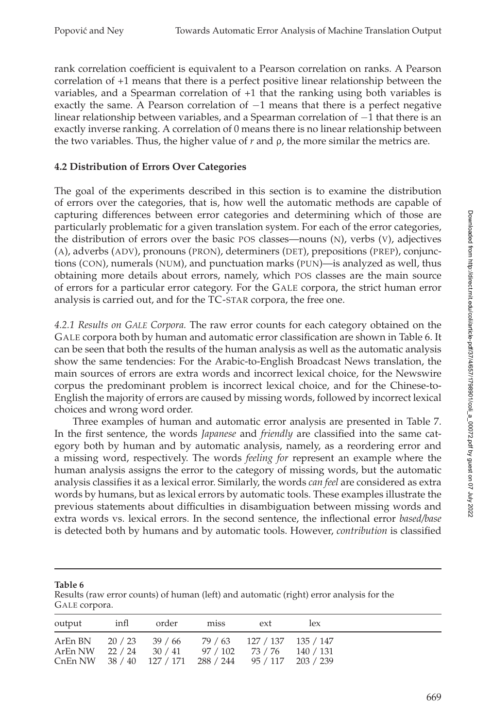rank correlation coefficient is equivalent to a Pearson correlation on ranks. A Pearson correlation of +1 means that there is a perfect positive linear relationship between the variables, and a Spearman correlation of +1 that the ranking using both variables is exactly the same. A Pearson correlation of  $-1$  means that there is a perfect negative linear relationship between variables, and a Spearman correlation of −1 that there is an exactly inverse ranking. A correlation of 0 means there is no linear relationship between the two variables. Thus, the higher value of *r* and ρ, the more similar the metrics are.

# **4.2 Distribution of Errors Over Categories**

The goal of the experiments described in this section is to examine the distribution of errors over the categories, that is, how well the automatic methods are capable of capturing differences between error categories and determining which of those are particularly problematic for a given translation system. For each of the error categories, the distribution of errors over the basic POS classes—nouns (N), verbs (V), adjectives (A), adverbs (ADV), pronouns (PRON), determiners (DET), prepositions (PREP), conjunctions (CON), numerals (NUM), and punctuation marks (PUN)—is analyzed as well, thus obtaining more details about errors, namely, which POS classes are the main source of errors for a particular error category. For the GALE corpora, the strict human error analysis is carried out, and for the TC-STAR corpora, the free one.

*4.2.1 Results on GALE Corpora.* The raw error counts for each category obtained on the GALE corpora both by human and automatic error classification are shown in Table 6. It can be seen that both the results of the human analysis as well as the automatic analysis show the same tendencies: For the Arabic-to-English Broadcast News translation, the main sources of errors are extra words and incorrect lexical choice, for the Newswire corpus the predominant problem is incorrect lexical choice, and for the Chinese-to-English the majority of errors are caused by missing words, followed by incorrect lexical choices and wrong word order.

Three examples of human and automatic error analysis are presented in Table 7. In the first sentence, the words *Japanese* and *friendly* are classified into the same category both by human and by automatic analysis, namely, as a reordering error and a missing word, respectively. The words *feeling for* represent an example where the human analysis assigns the error to the category of missing words, but the automatic analysis classifies it as a lexical error. Similarly, the words *can feel* are considered as extra words by humans, but as lexical errors by automatic tools. These examples illustrate the previous statements about difficulties in disambiguation between missing words and extra words vs. lexical errors. In the second sentence, the inflectional error *based/base* is detected both by humans and by automatic tools. However, *contribution* is classified

#### **Table 6**

Results (raw error counts) of human (left) and automatic (right) error analysis for the GALE corpora.

| output | infl | order | miss                                                                                                                                                                | ext | lex |
|--------|------|-------|---------------------------------------------------------------------------------------------------------------------------------------------------------------------|-----|-----|
|        |      |       | ArEn BN 20 / 23 39 / 66 79 / 63 127 / 137 135 / 147<br>ArEn NW 22 / 24 30 / 41 97 / 102 73 / 76 140 / 131<br>CnEn NW 38 / 40 127 / 171 288 / 244 95 / 117 203 / 239 |     |     |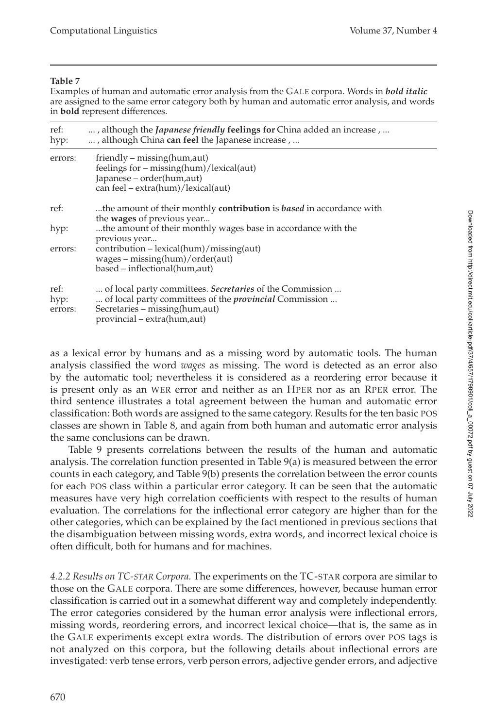Examples of human and automatic error analysis from the GALE corpora. Words in *bold italic* are assigned to the same error category both by human and automatic error analysis, and words in **bold** represent differences.

| ref:<br>hyp:            | , although the <i>Japanese friendly</i> feelings for China added an increase,<br>, although China can feel the Japanese increase,                                                                  |
|-------------------------|----------------------------------------------------------------------------------------------------------------------------------------------------------------------------------------------------|
| errors:                 | friendly – missing (hum, aut)<br>feelings for – missing(hum)/lexical(aut)<br>Japanese - order(hum,aut)<br>can feel – extra(hum)/lexical(aut)                                                       |
| ref:                    | the amount of their monthly <b>contribution</b> is <i>based</i> in accordance with<br>the <b>wages</b> of previous year                                                                            |
| hyp:                    | the amount of their monthly wages base in accordance with the<br>previous year                                                                                                                     |
| errors:                 | $contribution - lexical(hum)/missing(aut)$<br>$wages - missing(hum)/order(aut)$<br>based – inflectional(hum,aut)                                                                                   |
| ref:<br>hyp:<br>errors: | of local party committees. <i>Secretaries</i> of the Commission<br>of local party committees of the <i>provincial</i> Commission<br>Secretaries – missing(hum,aut)<br>provincial – extra(hum, aut) |

as a lexical error by humans and as a missing word by automatic tools. The human analysis classified the word *wages* as missing. The word is detected as an error also by the automatic tool; nevertheless it is considered as a reordering error because it is present only as an WER error and neither as an HPER nor as an RPER error. The third sentence illustrates a total agreement between the human and automatic error classification: Both words are assigned to the same category. Results for the ten basic POS classes are shown in Table 8, and again from both human and automatic error analysis the same conclusions can be drawn.

Table 9 presents correlations between the results of the human and automatic analysis. The correlation function presented in Table 9(a) is measured between the error counts in each category, and Table 9(b) presents the correlation between the error counts for each POS class within a particular error category. It can be seen that the automatic measures have very high correlation coefficients with respect to the results of human evaluation. The correlations for the inflectional error category are higher than for the other categories, which can be explained by the fact mentioned in previous sections that the disambiguation between missing words, extra words, and incorrect lexical choice is often difficult, both for humans and for machines.

*4.2.2 Results on TC-STAR Corpora.* The experiments on the TC-STAR corpora are similar to those on the GALE corpora. There are some differences, however, because human error classification is carried out in a somewhat different way and completely independently. The error categories considered by the human error analysis were inflectional errors, missing words, reordering errors, and incorrect lexical choice—that is, the same as in the GALE experiments except extra words. The distribution of errors over POS tags is not analyzed on this corpora, but the following details about inflectional errors are investigated: verb tense errors, verb person errors, adjective gender errors, and adjective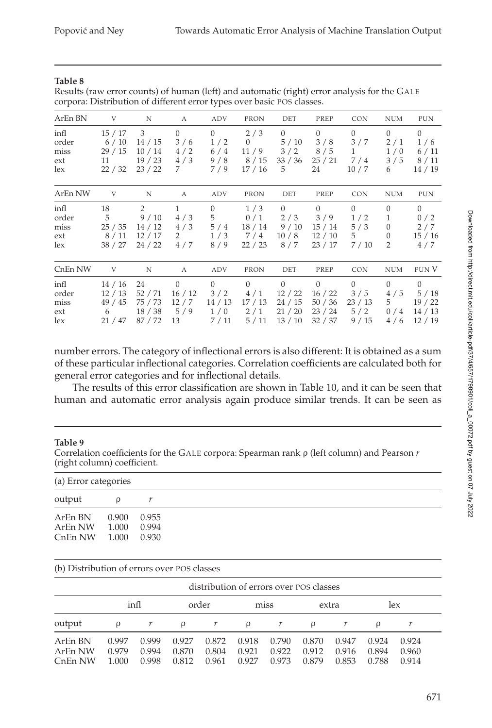ArEn BN V N A ADV PRON DET PREP CON NUM PUN infl 15/17 3 0 0 2/3 0 0 0 0 0 order 6/10 14/15 3/6 1/2 0 5/10 3/8 3/7 2/1 1/6 miss 29 / 15 10 / 14 4 / 2 6 / 4 11 / 9 3 / 2 8 / 5 1 1 / 0 6 / 11 ext 11 19 / 23 4 / 3 9 / 8 8 / 15 33 / 36 25 / 21 7 / 4 3 / 5 8 / 11 lex 22 / 32 23 / 22 7 7 / 9 17 / 16 5 24 10 / 7 6 14 / 19 ArEn NW V N A ADV PRON DET PREP CON NUM PUN infl 18 2 1 0 1 / 3 0 0 0 0 0 0 order 5 9/10 4/3 5 0/1 2/3 3/9 1/2 1 0/2 miss 25 / 35 14 / 12 4 / 3 5 / 4 18 / 14 9 / 10 15 / 14 5 / 3 0 2 / 7 ext 8/11 12/17 2 1/3 7/4 10/8 12/10 5 0 15/16 lex 38 / 27 24 / 22 4 / 7 8 / 9 22 / 23 8 / 7 23 / 17 7 / 10 2 4 / 7 CnEn NW V N A ADV PRON DET PREP CON NUM PUN V infl 14 / 16 24 0 0 0 0 0 0 0 0 order 12 / 13 52 / 71 16 / 12 3 / 2 4 / 1 12 / 22 16 / 22 3 / 5 4 / 5 5 / 18 miss 49 / 45 75 / 73 12 / 7 14 / 13 17 / 13 24 / 15 50 / 36 23 / 13 5 19 / 22 ext 6 18 / 38 5 / 9 1 / 0 2 / 1 21 / 20 23 / 24 5 / 2 0 / 4 14 / 13 lex 21 / 47 87 / 72 13 7 / 11 5 / 11 13 / 10 32 / 37 9 / 15 4 / 6 12 / 19

Results (raw error counts) of human (left) and automatic (right) error analysis for the GALE corpora: Distribution of different error types over basic POS classes.

number errors. The category of inflectional errors is also different: It is obtained as a sum of these particular inflectional categories. Correlation coefficients are calculated both for general error categories and for inflectional details.

The results of this error classification are shown in Table 10, and it can be seen that human and automatic error analysis again produce similar trends. It can be seen as

## **Table 9**

Correlation coefficients for the GALE corpora: Spearman rank ρ (left column) and Pearson *r* (right column) coefficient.

| (a) Error categories |       |       |
|----------------------|-------|-------|
| output               | O     |       |
| ArEn BN              | 0.900 | 0.955 |
| ArEn NW              | 1.000 | 0.994 |
| CnEn NW              | 1.000 | 0.930 |

#### (b) Distribution of errors over POS classes

|                               | distribution of errors over POS classes |                         |                         |                         |                         |                         |                         |                         |                         |                         |
|-------------------------------|-----------------------------------------|-------------------------|-------------------------|-------------------------|-------------------------|-------------------------|-------------------------|-------------------------|-------------------------|-------------------------|
|                               |                                         | infl                    |                         | order                   |                         | miss                    |                         | extra                   |                         | lex                     |
| output                        | Ω                                       | r                       | ρ                       | r                       | ρ                       | r                       | O                       |                         | Ω                       |                         |
| ArEn BN<br>ArEn NW<br>CnEn NW | 0.997<br>0.979<br>1.000                 | 0.999<br>0.994<br>0.998 | 0.927<br>0.870<br>0.812 | 0.872<br>0.804<br>0.961 | 0.918<br>0.921<br>0.927 | 0.790<br>0.922<br>0.973 | 0.870<br>0.912<br>0.879 | 0.947<br>0.916<br>0.853 | 0.924<br>0.894<br>0.788 | 0.924<br>0.960<br>0.914 |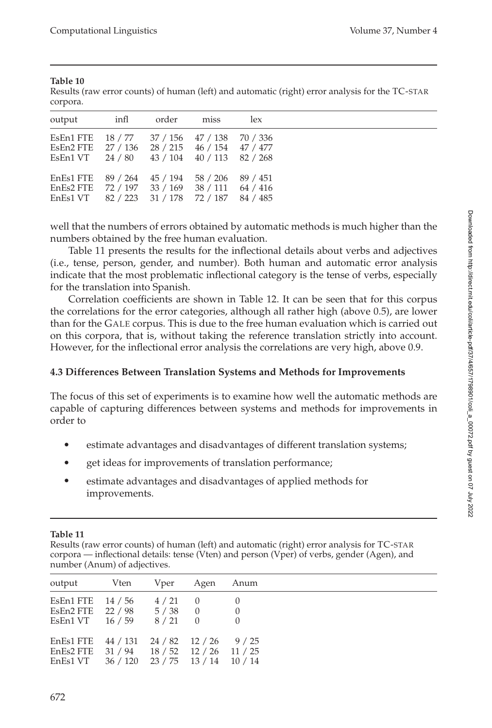Results (raw error counts) of human (left) and automatic (right) error analysis for the TC-STAR corpora.

| output                                                        | infl     | order                                                                      | miss     | lex                            |
|---------------------------------------------------------------|----------|----------------------------------------------------------------------------|----------|--------------------------------|
| EsEn1 FTE<br>EsEn2 FTE 27 / 136 28 / 215 46 / 154<br>EsEn1 VT |          | 18 / 77 37 / 156 47 / 138<br>24 / 80 43 / 104 40 / 113 82 / 268            |          | 70 / 336<br>47 / 477           |
| EnEs1 FTE<br>EnEs2 FTE<br>EnEs1 VT                            | 82 / 223 | $89 / 264$ $45 / 194$ $58 / 206$<br>72 / 197 33 / 169 38 / 111<br>31 / 178 | 72 / 187 | 89 / 451<br>64/416<br>84 / 485 |

well that the numbers of errors obtained by automatic methods is much higher than the numbers obtained by the free human evaluation.

Table 11 presents the results for the inflectional details about verbs and adjectives (i.e., tense, person, gender, and number). Both human and automatic error analysis indicate that the most problematic inflectional category is the tense of verbs, especially for the translation into Spanish.

Correlation coefficients are shown in Table 12. It can be seen that for this corpus the correlations for the error categories, although all rather high (above 0.5), are lower than for the GALE corpus. This is due to the free human evaluation which is carried out on this corpora, that is, without taking the reference translation strictly into account. However, for the inflectional error analysis the correlations are very high, above 0.9.

## **4.3 Differences Between Translation Systems and Methods for Improvements**

The focus of this set of experiments is to examine how well the automatic methods are capable of capturing differences between systems and methods for improvements in order to

- estimate advantages and disadvantages of different translation systems;
- get ideas for improvements of translation performance;
- estimate advantages and disadvantages of applied methods for improvements.

#### **Table 11**

Results (raw error counts) of human (left) and automatic (right) error analysis for TC-STAR corpora — inflectional details: tense (Vten) and person (Vper) of verbs, gender (Agen), and number (Anum) of adjectives.

| output    | Vten     | Vper    | Agen     | Anum  |
|-----------|----------|---------|----------|-------|
| EsEn1 FTE | 14/56    | 4/21    | $\theta$ | 0     |
| EsEn2 FTE | 22 / 98  | 5/38    | $\theta$ | 0     |
| EsEn1 VT  | 16/59    | 8/21    | $\Omega$ | 0     |
| EnEs1 FTE | 44 / 131 | 24 / 82 | 12/26    | 9/25  |
| EnEs2 FTE | 31/94    | 18/52   | 12/26    | 11/25 |
| EnEs1 VT  | 36 / 120 | 23/75   | 13/14    | 10/14 |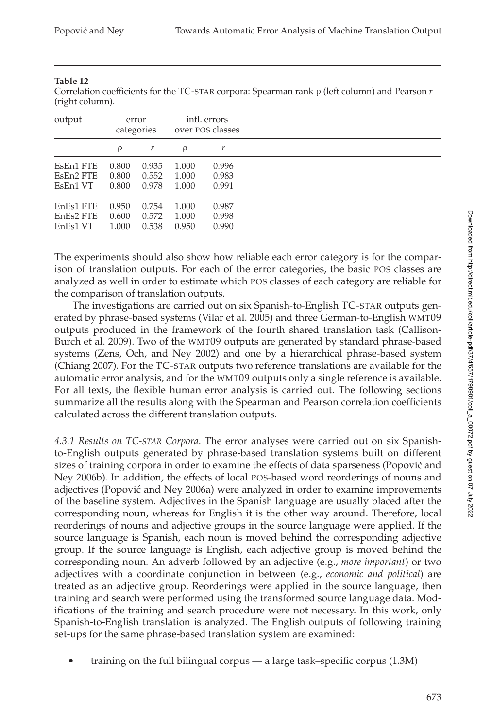| ×<br>۰.<br>۰, |  |
|---------------|--|
|---------------|--|

Correlation coefficients for the TC-STAR corpora: Spearman rank ρ (left column) and Pearson *r* (right column).

| output    | error<br>categories |       | infl. errors<br>over POS classes |       |
|-----------|---------------------|-------|----------------------------------|-------|
|           | ρ                   | r     | ρ                                | r     |
| EsEn1 FTE | 0.800               | 0.935 | 1.000                            | 0.996 |
| EsEn2 FTE | 0.800               | 0.552 | 1.000                            | 0.983 |
| EsEn1 VT  | 0.800               | 0.978 | 1.000                            | 0.991 |
| EnEs1 FTE | 0.950               | 0.754 | 1.000                            | 0.987 |
| EnEs2 FTE | 0.600               | 0.572 | 1.000                            | 0.998 |
| EnEs1 VT  | 1.000               | 0.538 | 0.950                            | 0.990 |

The experiments should also show how reliable each error category is for the comparison of translation outputs. For each of the error categories, the basic POS classes are analyzed as well in order to estimate which POS classes of each category are reliable for the comparison of translation outputs.

The investigations are carried out on six Spanish-to-English TC-STAR outputs generated by phrase-based systems (Vilar et al. 2005) and three German-to-English WMT09 outputs produced in the framework of the fourth shared translation task (Callison-Burch et al. 2009). Two of the WMT09 outputs are generated by standard phrase-based systems (Zens, Och, and Ney 2002) and one by a hierarchical phrase-based system (Chiang 2007). For the TC-STAR outputs two reference translations are available for the automatic error analysis, and for the WMT09 outputs only a single reference is available. For all texts, the flexible human error analysis is carried out. The following sections summarize all the results along with the Spearman and Pearson correlation coefficients calculated across the different translation outputs.

*4.3.1 Results on TC-STAR Corpora.* The error analyses were carried out on six Spanishto-English outputs generated by phrase-based translation systems built on different sizes of training corpora in order to examine the effects of data sparseness (Popovic and ´ Ney 2006b). In addition, the effects of local POS-based word reorderings of nouns and adjectives (Popovic and Ney 2006a) were analyzed in order to examine improvements ´ of the baseline system. Adjectives in the Spanish language are usually placed after the corresponding noun, whereas for English it is the other way around. Therefore, local reorderings of nouns and adjective groups in the source language were applied. If the source language is Spanish, each noun is moved behind the corresponding adjective group. If the source language is English, each adjective group is moved behind the corresponding noun. An adverb followed by an adjective (e.g., *more important*) or two adjectives with a coordinate conjunction in between (e.g., *economic and political*) are treated as an adjective group. Reorderings were applied in the source language, then training and search were performed using the transformed source language data. Modifications of the training and search procedure were not necessary. In this work, only Spanish-to-English translation is analyzed. The English outputs of following training set-ups for the same phrase-based translation system are examined:

training on the full bilingual corpus — a large task–specific corpus (1.3M)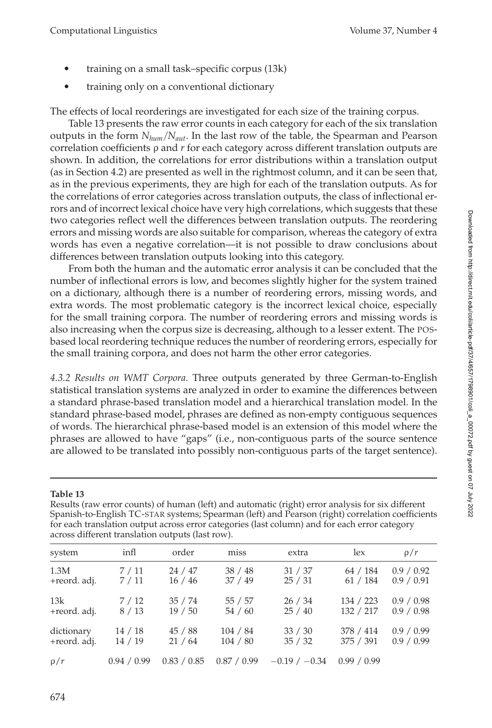- training on a small task–specific corpus (13k)
- $\bullet$ training only on a conventional dictionary

The effects of local reorderings are investigated for each size of the training corpus.

Table 13 presents the raw error counts in each category for each of the six translation outputs in the form *Nhum*/*Naut*. In the last row of the table, the Spearman and Pearson correlation coefficients ρ and *r* for each category across different translation outputs are shown. In addition, the correlations for error distributions within a translation output (as in Section 4.2) are presented as well in the rightmost column, and it can be seen that, as in the previous experiments, they are high for each of the translation outputs. As for the correlations of error categories across translation outputs, the class of inflectional errors and of incorrect lexical choice have very high correlations, which suggests that these two categories reflect well the differences between translation outputs. The reordering errors and missing words are also suitable for comparison, whereas the category of extra words has even a negative correlation—it is not possible to draw conclusions about differences between translation outputs looking into this category.

From both the human and the automatic error analysis it can be concluded that the number of inflectional errors is low, and becomes slightly higher for the system trained on a dictionary, although there is a number of reordering errors, missing words, and extra words. The most problematic category is the incorrect lexical choice, especially for the small training corpora. The number of reordering errors and missing words is also increasing when the corpus size is decreasing, although to a lesser extent. The POSbased local reordering technique reduces the number of reordering errors, especially for the small training corpora, and does not harm the other error categories.

*4.3.2 Results on WMT Corpora.* Three outputs generated by three German-to-English statistical translation systems are analyzed in order to examine the differences between a standard phrase-based translation model and a hierarchical translation model. In the standard phrase-based model, phrases are defined as non-empty contiguous sequences of words. The hierarchical phrase-based model is an extension of this model where the phrases are allowed to have "gaps" (i.e., non-contiguous parts of the source sentence are allowed to be translated into possibly non-contiguous parts of the target sentence).

|              | across different translation outputs (last row). |             |             |                 |             |            |  |  |  |  |  |  |  |
|--------------|--------------------------------------------------|-------------|-------------|-----------------|-------------|------------|--|--|--|--|--|--|--|
| system       | infl                                             | order       | miss        | extra           | lex         | $\rho/r$   |  |  |  |  |  |  |  |
| 1.3M         | 7/11                                             | 24 / 47     | 38 / 48     | 31 / 37         | 64 / 184    | 0.9 / 0.92 |  |  |  |  |  |  |  |
| +reord. adj. | 7/11                                             | 16/46       | 37/49       | 25/31           | 61 / 184    | 0.9 / 0.91 |  |  |  |  |  |  |  |
| 13k          | 7/12                                             | 35/74       | 55 / 57     | 26/34           | 134 / 223   | 0.9 / 0.98 |  |  |  |  |  |  |  |
| +reord. adj. | 8/13                                             | 19/50       | 54/60       | 25/40           | 132 / 217   | 0.9 / 0.98 |  |  |  |  |  |  |  |
| dictionary   | 14/18                                            | 45/88       | 104 / 84    | 33 / 30         | 378 / 414   | 0.9 / 0.99 |  |  |  |  |  |  |  |
| +reord. adj. | 14/19                                            | 21/64       | 104 / 80    | 35/32           | 375 / 391   | 0.9 / 0.99 |  |  |  |  |  |  |  |
| $\rho/r$     | 0.94 / 0.99                                      | 0.83 / 0.85 | 0.87 / 0.99 | $-0.19 / -0.34$ | 0.99 / 0.99 |            |  |  |  |  |  |  |  |

**Table 13** Results (raw error counts) of human (left) and automatic (right) error analysis for six different Spanish-to-English TC-STAR systems; Spearman (left) and Pearson (right) correlation coefficients for each translation output across error categories (last column) and for each error category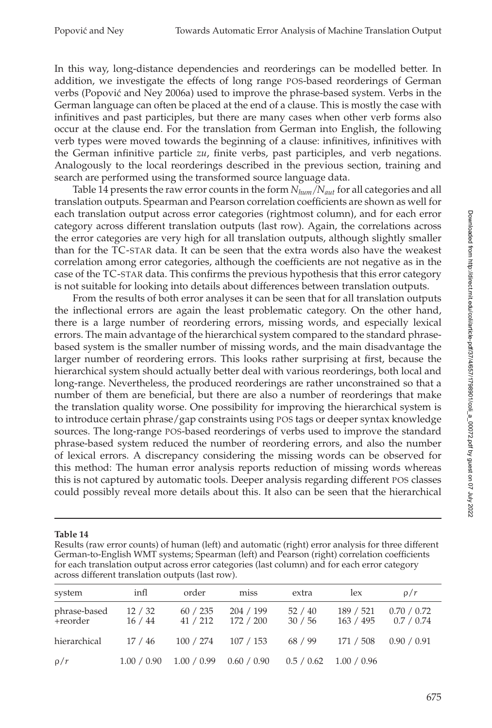In this way, long-distance dependencies and reorderings can be modelled better. In addition, we investigate the effects of long range POS-based reorderings of German verbs (Popovic and Ney 2006a) used to improve the phrase-based system. Verbs in the ´ German language can often be placed at the end of a clause. This is mostly the case with infinitives and past participles, but there are many cases when other verb forms also occur at the clause end. For the translation from German into English, the following verb types were moved towards the beginning of a clause: infinitives, infinitives with the German infinitive particle *zu*, finite verbs, past participles, and verb negations. Analogously to the local reorderings described in the previous section, training and search are performed using the transformed source language data.

Table 14 presents the raw error counts in the form *Nhum*/*Naut* for all categories and all translation outputs. Spearman and Pearson correlation coefficients are shown as well for each translation output across error categories (rightmost column), and for each error category across different translation outputs (last row). Again, the correlations across the error categories are very high for all translation outputs, although slightly smaller than for the TC-STAR data. It can be seen that the extra words also have the weakest correlation among error categories, although the coefficients are not negative as in the case of the TC-STAR data. This confirms the previous hypothesis that this error category is not suitable for looking into details about differences between translation outputs.

From the results of both error analyses it can be seen that for all translation outputs the inflectional errors are again the least problematic category. On the other hand, there is a large number of reordering errors, missing words, and especially lexical errors. The main advantage of the hierarchical system compared to the standard phrasebased system is the smaller number of missing words, and the main disadvantage the larger number of reordering errors. This looks rather surprising at first, because the hierarchical system should actually better deal with various reorderings, both local and long-range. Nevertheless, the produced reorderings are rather unconstrained so that a number of them are beneficial, but there are also a number of reorderings that make the translation quality worse. One possibility for improving the hierarchical system is to introduce certain phrase/gap constraints using POS tags or deeper syntax knowledge sources. The long-range POS-based reorderings of verbs used to improve the standard phrase-based system reduced the number of reordering errors, and also the number of lexical errors. A discrepancy considering the missing words can be observed for this method: The human error analysis reports reduction of missing words whereas this is not captured by automatic tools. Deeper analysis regarding different POS classes could possibly reveal more details about this. It also can be seen that the hierarchical

## **Table 14**

Results (raw error counts) of human (left) and automatic (right) error analysis for three different German-to-English WMT systems; Spearman (left) and Pearson (right) correlation coefficients for each translation output across error categories (last column) and for each error category across different translation outputs (last row).

| system                   | infl           | order              | miss                   | extra          | lex                  | $\rho/r$                  |
|--------------------------|----------------|--------------------|------------------------|----------------|----------------------|---------------------------|
| phrase-based<br>+reorder | 12/32<br>16/44 | 60 / 235<br>41/212 | 204 / 199<br>172 / 200 | 52/40<br>30/56 | 189/521<br>163 / 495 | 0.70 / 0.72<br>0.7 / 0.74 |
| hierarchical             | 17/46          | 100 / 274          | 107/153                | 68 / 99        | 171/508              | 0.90 / 0.91               |
| $\rho/r$                 | 1.00 / 0.90    | 1.00 / 0.99        | 0.60 / 0.90            | 0.5 / 0.62     | 1.00 / 0.96          |                           |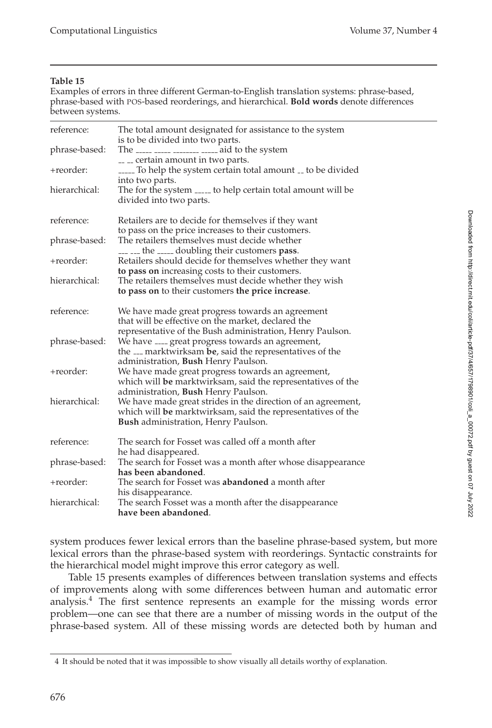Examples of errors in three different German-to-English translation systems: phrase-based, phrase-based with POS-based reorderings, and hierarchical. **Bold words** denote differences between systems.

| reference:    | The total amount designated for assistance to the system<br>is to be divided into two parts.                                                                                                              |
|---------------|-----------------------------------------------------------------------------------------------------------------------------------------------------------------------------------------------------------|
| phrase-based: | The _____ _____ ________ _____ aid to the system                                                                                                                                                          |
| +reorder:     | -- -- certain amount in two parts.<br>----- To help the system certain total amount -- to be divided                                                                                                      |
| hierarchical: | into two parts.<br>The for the system _____ to help certain total amount will be<br>divided into two parts.                                                                                               |
| reference:    | Retailers are to decide for themselves if they want                                                                                                                                                       |
| phrase-based: | to pass on the price increases to their customers.<br>The retailers themselves must decide whether<br>--- --- the ----- doubling their customers pass.                                                    |
| +reorder:     | Retailers should decide for themselves whether they want<br>to pass on increasing costs to their customers.                                                                                               |
| hierarchical: | The retailers themselves must decide whether they wish<br>to pass on to their customers the price increase.                                                                                               |
| reference:    | We have made great progress towards an agreement<br>that will be effective on the market, declared the                                                                                                    |
| phrase-based: | representative of the Bush administration, Henry Paulson.<br>We have ____ great progress towards an agreement,<br>the ___ marktwirksam be, said the representatives of the                                |
| +reorder:     | administration, Bush Henry Paulson.<br>We have made great progress towards an agreement,<br>which will be marktwirksam, said the representatives of the                                                   |
| hierarchical: | administration, Bush Henry Paulson.<br>We have made great strides in the direction of an agreement,<br>which will be marktwirksam, said the representatives of the<br>Bush administration, Henry Paulson. |
| reference:    | The search for Fosset was called off a month after<br>he had disappeared.                                                                                                                                 |
| phrase-based: | The search for Fosset was a month after whose disappearance<br>has been abandoned.                                                                                                                        |
| +reorder:     | The search for Fosset was <b>abandoned</b> a month after<br>his disappearance.                                                                                                                            |
| hierarchical: | The search Fosset was a month after the disappearance<br>have been abandoned.                                                                                                                             |

system produces fewer lexical errors than the baseline phrase-based system, but more lexical errors than the phrase-based system with reorderings. Syntactic constraints for the hierarchical model might improve this error category as well.

Table 15 presents examples of differences between translation systems and effects of improvements along with some differences between human and automatic error analysis.<sup>4</sup> The first sentence represents an example for the missing words error problem—one can see that there are a number of missing words in the output of the phrase-based system. All of these missing words are detected both by human and

<sup>4</sup> It should be noted that it was impossible to show visually all details worthy of explanation.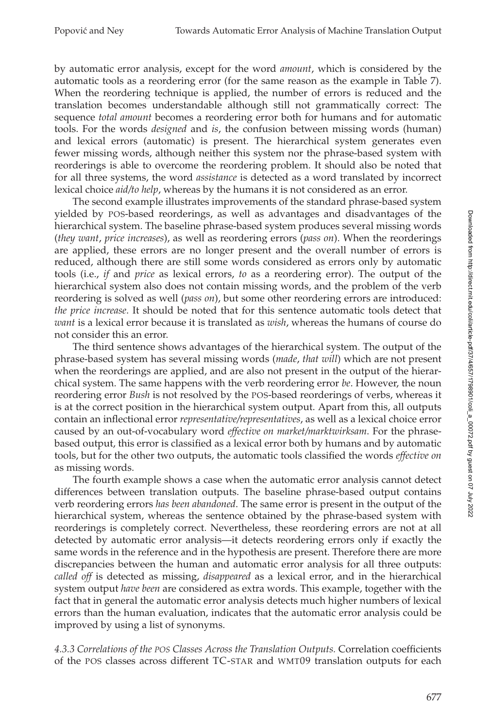by automatic error analysis, except for the word *amount*, which is considered by the automatic tools as a reordering error (for the same reason as the example in Table 7). When the reordering technique is applied, the number of errors is reduced and the translation becomes understandable although still not grammatically correct: The sequence *total amount* becomes a reordering error both for humans and for automatic tools. For the words *designed* and *is*, the confusion between missing words (human) and lexical errors (automatic) is present. The hierarchical system generates even fewer missing words, although neither this system nor the phrase-based system with reorderings is able to overcome the reordering problem. It should also be noted that for all three systems, the word *assistance* is detected as a word translated by incorrect lexical choice *aid/to help*, whereas by the humans it is not considered as an error.

The second example illustrates improvements of the standard phrase-based system yielded by POS-based reorderings, as well as advantages and disadvantages of the hierarchical system. The baseline phrase-based system produces several missing words (*they want*, *price increases*), as well as reordering errors (*pass on*). When the reorderings are applied, these errors are no longer present and the overall number of errors is reduced, although there are still some words considered as errors only by automatic tools (i.e., *if* and *price* as lexical errors, *to* as a reordering error). The output of the hierarchical system also does not contain missing words, and the problem of the verb reordering is solved as well (*pass on*), but some other reordering errors are introduced: *the price increase*. It should be noted that for this sentence automatic tools detect that *want* is a lexical error because it is translated as *wish*, whereas the humans of course do not consider this an error.

The third sentence shows advantages of the hierarchical system. The output of the phrase-based system has several missing words (*made*, *that will*) which are not present when the reorderings are applied, and are also not present in the output of the hierarchical system. The same happens with the verb reordering error *be*. However, the noun reordering error *Bush* is not resolved by the POS-based reorderings of verbs, whereas it is at the correct position in the hierarchical system output. Apart from this, all outputs contain an inflectional error *representative/representatives*, as well as a lexical choice error caused by an out-of-vocabulary word *effective on market/marktwirksam*. For the phrasebased output, this error is classified as a lexical error both by humans and by automatic tools, but for the other two outputs, the automatic tools classified the words *effective on* as missing words.

The fourth example shows a case when the automatic error analysis cannot detect differences between translation outputs. The baseline phrase-based output contains verb reordering errors *has been abandoned*. The same error is present in the output of the hierarchical system, whereas the sentence obtained by the phrase-based system with reorderings is completely correct. Nevertheless, these reordering errors are not at all detected by automatic error analysis—it detects reordering errors only if exactly the same words in the reference and in the hypothesis are present. Therefore there are more discrepancies between the human and automatic error analysis for all three outputs: *called off* is detected as missing, *disappeared* as a lexical error, and in the hierarchical system output *have been* are considered as extra words. This example, together with the fact that in general the automatic error analysis detects much higher numbers of lexical errors than the human evaluation, indicates that the automatic error analysis could be improved by using a list of synonyms.

*4.3.3 Correlations of the POS Classes Across the Translation Outputs.* Correlation coefficients of the POS classes across different TC-STAR and WMT09 translation outputs for each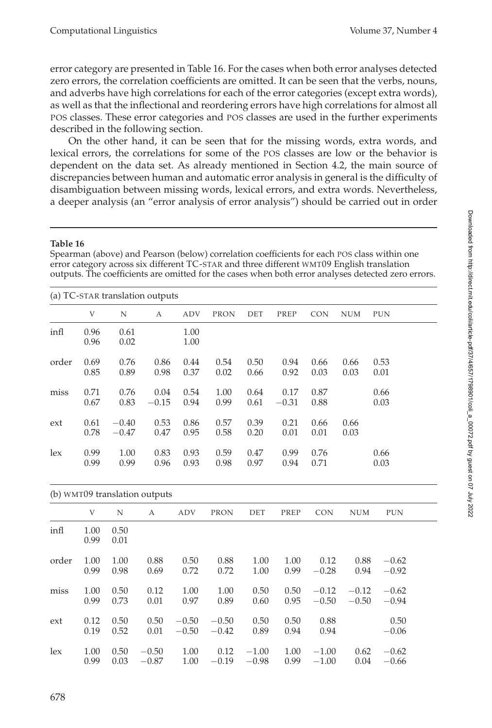error category are presented in Table 16. For the cases when both error analyses detected zero errors, the correlation coefficients are omitted. It can be seen that the verbs, nouns, and adverbs have high correlations for each of the error categories (except extra words), as well as that the inflectional and reordering errors have high correlations for almost all POS classes. These error categories and POS classes are used in the further experiments described in the following section.

On the other hand, it can be seen that for the missing words, extra words, and lexical errors, the correlations for some of the POS classes are low or the behavior is dependent on the data set. As already mentioned in Section 4.2, the main source of discrepancies between human and automatic error analysis in general is the difficulty of disambiguation between missing words, lexical errors, and extra words. Nevertheless, a deeper analysis (an "error analysis of error analysis") should be carried out in order

#### **Table 16**

Spearman (above) and Pearson (below) correlation coefficients for each POS class within one error category across six different TC-STAR and three different WMT09 English translation outputs. The coefficients are omitted for the cases when both error analyses detected zero errors.

|       | (a) TC-STAR translation outputs |                    |                 |              |              |              |                 |              |              |              |  |
|-------|---------------------------------|--------------------|-----------------|--------------|--------------|--------------|-----------------|--------------|--------------|--------------|--|
|       | V                               | N                  | A               | ADV          | PRON         | DET          | PREP            | CON          | <b>NUM</b>   | PUN          |  |
| infl  | 0.96<br>0.96                    | 0.61<br>0.02       |                 | 1.00<br>1.00 |              |              |                 |              |              |              |  |
| order | 0.69<br>0.85                    | 0.76<br>0.89       | 0.86<br>0.98    | 0.44<br>0.37 | 0.54<br>0.02 | 0.50<br>0.66 | 0.94<br>0.92    | 0.66<br>0.03 | 0.66<br>0.03 | 0.53<br>0.01 |  |
| miss  | 0.71<br>0.67                    | 0.76<br>0.83       | 0.04<br>$-0.15$ | 0.54<br>0.94 | 1.00<br>0.99 | 0.64<br>0.61 | 0.17<br>$-0.31$ | 0.87<br>0.88 |              | 0.66<br>0.03 |  |
| ext   | 0.61<br>0.78                    | $-0.40$<br>$-0.47$ | 0.53<br>0.47    | 0.86<br>0.95 | 0.57<br>0.58 | 0.39<br>0.20 | 0.21<br>0.01    | 0.66<br>0.01 | 0.66<br>0.03 |              |  |
| lex   | 0.99<br>0.99                    | 1.00<br>0.99       | 0.83<br>0.96    | 0.93<br>0.93 | 0.59<br>0.98 | 0.47<br>0.97 | 0.99<br>0.94    | 0.76<br>0.71 |              | 0.66<br>0.03 |  |

|       | (b) WMT09 translation outputs |              |                    |                    |                    |                    |              |                    |                    |                    |  |  |
|-------|-------------------------------|--------------|--------------------|--------------------|--------------------|--------------------|--------------|--------------------|--------------------|--------------------|--|--|
|       | V                             | N            | A                  | ADV                | <b>PRON</b>        | DET                | PREP         | <b>CON</b>         | <b>NUM</b>         | PUN                |  |  |
| infl  | 1.00<br>0.99                  | 0.50<br>0.01 |                    |                    |                    |                    |              |                    |                    |                    |  |  |
| order | 1.00<br>0.99                  | 1.00<br>0.98 | 0.88<br>0.69       | 0.50<br>0.72       | 0.88<br>0.72       | 1.00<br>1.00       | 1.00<br>0.99 | 0.12<br>$-0.28$    | 0.88<br>0.94       | $-0.62$<br>$-0.92$ |  |  |
| miss  | 1.00<br>0.99                  | 0.50<br>0.73 | 0.12<br>0.01       | 1.00<br>0.97       | 1.00<br>0.89       | 0.50<br>0.60       | 0.50<br>0.95 | $-0.12$<br>$-0.50$ | $-0.12$<br>$-0.50$ | $-0.62$<br>$-0.94$ |  |  |
| ext   | 0.12<br>0.19                  | 0.50<br>0.52 | 0.50<br>0.01       | $-0.50$<br>$-0.50$ | $-0.50$<br>$-0.42$ | 0.50<br>0.89       | 0.50<br>0.94 | 0.88<br>0.94       |                    | 0.50<br>$-0.06$    |  |  |
| lex   | 1.00<br>0.99                  | 0.50<br>0.03 | $-0.50$<br>$-0.87$ | 1.00<br>1.00       | 0.12<br>$-0.19$    | $-1.00$<br>$-0.98$ | 1.00<br>0.99 | $-1.00$<br>$-1.00$ | 0.62<br>0.04       | $-0.62$<br>$-0.66$ |  |  |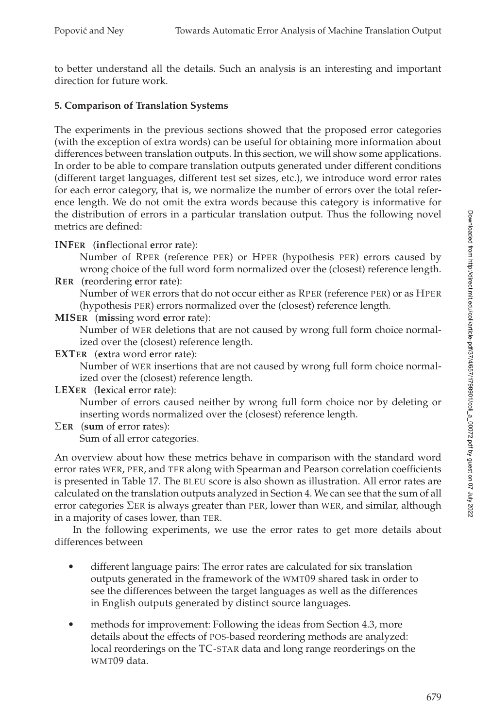to better understand all the details. Such an analysis is an interesting and important direction for future work.

# **5. Comparison of Translation Systems**

The experiments in the previous sections showed that the proposed error categories (with the exception of extra words) can be useful for obtaining more information about differences between translation outputs. In this section, we will show some applications. In order to be able to compare translation outputs generated under different conditions (different target languages, different test set sizes, etc.), we introduce word error rates for each error category, that is, we normalize the number of errors over the total reference length. We do not omit the extra words because this category is informative for the distribution of errors in a particular translation output. Thus the following novel metrics are defined:

**INFER** (**inf**lectional **e**rror **r**ate):

Number of RPER (reference PER) or HPER (hypothesis PER) errors caused by wrong choice of the full word form normalized over the (closest) reference length. **RER** (**r**eordering **e**rror **r**ate):

Number of WER errors that do not occur either as RPER (reference PER) or as HPER (hypothesis PER) errors normalized over the (closest) reference length.

**MISER** (**mis**sing word **e**rror **r**ate):

Number of WER deletions that are not caused by wrong full form choice normalized over the (closest) reference length.

**EXTER** (**ext**ra word **e**rror **r**ate):

Number of WER insertions that are not caused by wrong full form choice normalized over the (closest) reference length.

**LEXER** (**lex**ical **e**rror **r**ate):

Number of errors caused neither by wrong full form choice nor by deleting or inserting words normalized over the (closest) reference length.

Σ**ER** (**sum** of **e**rror **r**ates): Sum of all error categories.

An overview about how these metrics behave in comparison with the standard word error rates WER, PER, and TER along with Spearman and Pearson correlation coefficients is presented in Table 17. The BLEU score is also shown as illustration. All error rates are calculated on the translation outputs analyzed in Section 4. We can see that the sum of all error categories  $\Sigma$ ER is always greater than PER, lower than WER, and similar, although in a majority of cases lower, than TER.

In the following experiments, we use the error rates to get more details about differences between

- $\bullet$  different language pairs: The error rates are calculated for six translation outputs generated in the framework of the WMT09 shared task in order to see the differences between the target languages as well as the differences in English outputs generated by distinct source languages.
- $\bullet$  methods for improvement: Following the ideas from Section 4.3, more details about the effects of POS-based reordering methods are analyzed: local reorderings on the TC-STAR data and long range reorderings on the WMT09 data.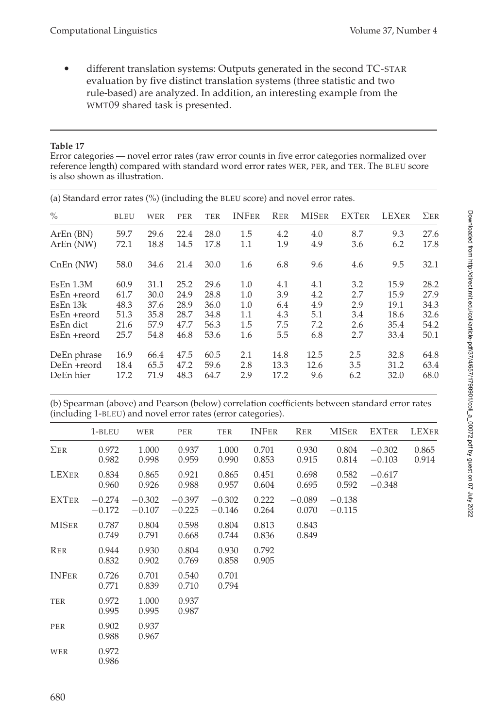different translation systems: Outputs generated in the second TC-STAR evaluation by five distinct translation systems (three statistic and two rule-based) are analyzed. In addition, an interesting example from the WMT09 shared task is presented.

#### **Table 17**

Error categories — novel error rates (raw error counts in five error categories normalized over reference length) compared with standard word error rates WER, PER, and TER. The BLEU score is also shown as illustration.

| (a) Standard error rates (%) (including the BLEU score) and novel error rates. |             |      |      |            |              |      |              |              |              |             |
|--------------------------------------------------------------------------------|-------------|------|------|------------|--------------|------|--------------|--------------|--------------|-------------|
| $\%$                                                                           | <b>BLEU</b> | WER  | PER  | <b>TER</b> | <b>INFER</b> | Rer  | <b>MISER</b> | <b>EXTER</b> | <b>LEXER</b> | $\Sigma$ ER |
| ArEn(BN)                                                                       | 59.7        | 29.6 | 22.4 | 28.0       | 1.5          | 4.2  | 4.0          | 8.7          | 9.3          | 27.6        |
| ArEn (NW)                                                                      | 72.1        | 18.8 | 14.5 | 17.8       | 1.1          | 1.9  | 4.9          | 3.6          | 6.2          | 17.8        |
| ChEn(NW)                                                                       | 58.0        | 34.6 | 21.4 | 30.0       | 1.6          | 6.8  | 9.6          | 4.6          | 9.5          | 32.1        |
| EsEn 1.3M                                                                      | 60.9        | 31.1 | 25.2 | 29.6       | 1.0          | 4.1  | 4.1          | 3.2          | 15.9         | 28.2        |
| EsEn +reord                                                                    | 61.7        | 30.0 | 24.9 | 28.8       | 1.0          | 3.9  | 4.2          | 2.7          | 15.9         | 27.9        |
| EsEn 13k                                                                       | 48.3        | 37.6 | 28.9 | 36.0       | 1.0          | 6.4  | 4.9          | 2.9          | 19.1         | 34.3        |
| EsEn +reord                                                                    | 51.3        | 35.8 | 28.7 | 34.8       | 1.1          | 4.3  | 5.1          | 3.4          | 18.6         | 32.6        |
| EsEn dict                                                                      | 21.6        | 57.9 | 47.7 | 56.3       | 1.5          | 7.5  | 7.2          | 2.6          | 35.4         | 54.2        |
| EsEn +reord                                                                    | 25.7        | 54.8 | 46.8 | 53.6       | 1.6          | 5.5  | 6.8          | 2.7          | 33.4         | 50.1        |
| DeEn phrase                                                                    | 16.9        | 66.4 | 47.5 | 60.5       | 2.1          | 14.8 | 12.5         | 2.5          | 32.8         | 64.8        |
| DeEn +reord                                                                    | 18.4        | 65.5 | 47.2 | 59.6       | 2.8          | 13.3 | 12.6         | 3.5          | 31.2         | 63.4        |
| DeEn hier                                                                      | 17.2        | 71.9 | 48.3 | 64.7       | 2.9          | 17.2 | 9.6          | 6.2          | 32.0         | 68.0        |

(b) Spearman (above) and Pearson (below) correlation coefficients between standard error rates (including 1-BLEU) and novel error rates (error categories).

|              | 1-BLEU               | WER                  | PER                  | TER                  | <b>INFER</b>   | RER               | <b>MISER</b>         | <b>EXTER</b>         | <b>LEXER</b>   |
|--------------|----------------------|----------------------|----------------------|----------------------|----------------|-------------------|----------------------|----------------------|----------------|
| $\Sigma$ ER  | 0.972<br>0.982       | 1.000<br>0.998       | 0.937<br>0.959       | 1.000<br>0.990       | 0.701<br>0.853 | 0.930<br>0.915    | 0.804<br>0.814       | $-0.302$<br>$-0.103$ | 0.865<br>0.914 |
| <b>LEXER</b> | 0.834<br>0.960       | 0.865<br>0.926       | 0.921<br>0.988       | 0.865<br>0.957       | 0.451<br>0.604 | 0.698<br>0.695    | 0.582<br>0.592       | $-0.617$<br>$-0.348$ |                |
| <b>EXTER</b> | $-0.274$<br>$-0.172$ | $-0.302$<br>$-0.107$ | $-0.397$<br>$-0.225$ | $-0.302$<br>$-0.146$ | 0.222<br>0.264 | $-0.089$<br>0.070 | $-0.138$<br>$-0.115$ |                      |                |
| <b>MISER</b> | 0.787<br>0.749       | 0.804<br>0.791       | 0.598<br>0.668       | 0.804<br>0.744       | 0.813<br>0.836 | 0.843<br>0.849    |                      |                      |                |
| Rer          | 0.944<br>0.832       | 0.930<br>0.902       | 0.804<br>0.769       | 0.930<br>0.858       | 0.792<br>0.905 |                   |                      |                      |                |
| <b>INFER</b> | 0.726<br>0.771       | 0.701<br>0.839       | 0.540<br>0.710       | 0.701<br>0.794       |                |                   |                      |                      |                |
| TER          | 0.972<br>0.995       | 1.000<br>0.995       | 0.937<br>0.987       |                      |                |                   |                      |                      |                |
| PER          | 0.902<br>0.988       | 0.937<br>0.967       |                      |                      |                |                   |                      |                      |                |
| WER          | 0.972<br>0.986       |                      |                      |                      |                |                   |                      |                      |                |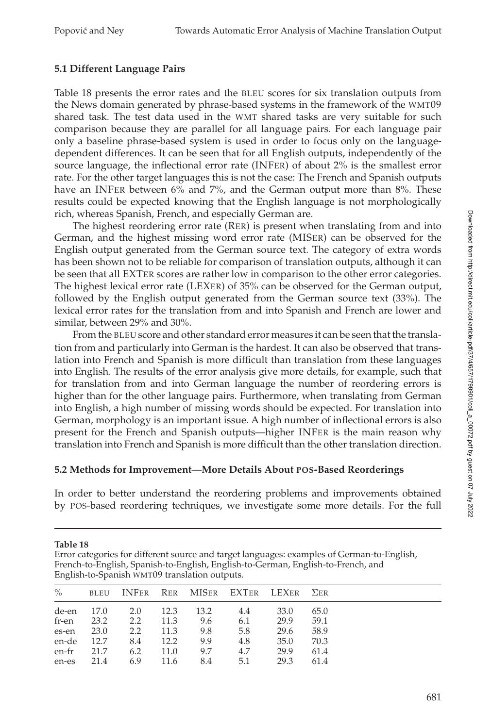# **5.1 Different Language Pairs**

Table 18 presents the error rates and the BLEU scores for six translation outputs from the News domain generated by phrase-based systems in the framework of the WMT09 shared task. The test data used in the WMT shared tasks are very suitable for such comparison because they are parallel for all language pairs. For each language pair only a baseline phrase-based system is used in order to focus only on the languagedependent differences. It can be seen that for all English outputs, independently of the source language, the inflectional error rate (INFER) of about 2% is the smallest error rate. For the other target languages this is not the case: The French and Spanish outputs have an INFER between 6% and 7%, and the German output more than 8%. These results could be expected knowing that the English language is not morphologically rich, whereas Spanish, French, and especially German are.

The highest reordering error rate (RER) is present when translating from and into German, and the highest missing word error rate (MISER) can be observed for the English output generated from the German source text. The category of extra words has been shown not to be reliable for comparison of translation outputs, although it can be seen that all EXTER scores are rather low in comparison to the other error categories. The highest lexical error rate (LEXER) of 35% can be observed for the German output, followed by the English output generated from the German source text (33%). The lexical error rates for the translation from and into Spanish and French are lower and similar, between 29% and 30%.

From the BLEU score and other standard error measures it can be seen that the translation from and particularly into German is the hardest. It can also be observed that translation into French and Spanish is more difficult than translation from these languages into English. The results of the error analysis give more details, for example, such that for translation from and into German language the number of reordering errors is higher than for the other language pairs. Furthermore, when translating from German into English, a high number of missing words should be expected. For translation into German, morphology is an important issue. A high number of inflectional errors is also present for the French and Spanish outputs—higher INFER is the main reason why translation into French and Spanish is more difficult than the other translation direction.

# **5.2 Methods for Improvement—More Details About POS-Based Reorderings**

In order to better understand the reordering problems and improvements obtained by POS-based reordering techniques, we investigate some more details. For the full

| Table 18 |                                                                                            |  |  |  |  |  |  |  |  |  |  |
|----------|--------------------------------------------------------------------------------------------|--|--|--|--|--|--|--|--|--|--|
|          | Error categories for different source and target languages: examples of German-to-English, |  |  |  |  |  |  |  |  |  |  |
|          | French-to-English, Spanish-to-English, English-to-German, English-to-French, and           |  |  |  |  |  |  |  |  |  |  |
|          | English-to-Spanish WMT09 translation outputs.                                              |  |  |  |  |  |  |  |  |  |  |
|          |                                                                                            |  |  |  |  |  |  |  |  |  |  |
| $\Omega$ |                                                                                            |  |  |  |  |  |  |  |  |  |  |

| $\%$         |                |                     |      |                              |         | BLEU INFER RER MISER EXTER LEXER $\Sigma$ er |      |
|--------------|----------------|---------------------|------|------------------------------|---------|----------------------------------------------|------|
|              |                |                     |      | de-en 17.0 2.0 12.3 13.2 4.4 |         | 33.0                                         | 65.0 |
|              |                | fr-en 23.2 2.2 11.3 |      |                              | 9.6 6.1 | 29.9                                         | 59.1 |
|              |                | es-en 23.0 2.2 11.3 |      |                              | 9.8 5.8 | 29.6                                         | 58.9 |
|              | en-de 12.7 8.4 |                     | 12.2 | 9.9 4.8                      |         | 35.0                                         | 70.3 |
| $en-fr$ 21.7 |                | 6.2                 | 11.0 |                              | 9.7 4.7 | 29.9                                         | 61.4 |
|              |                | en-es 21.4 6.9 11.6 |      |                              | 8.4 5.1 | 29.3                                         | 61.4 |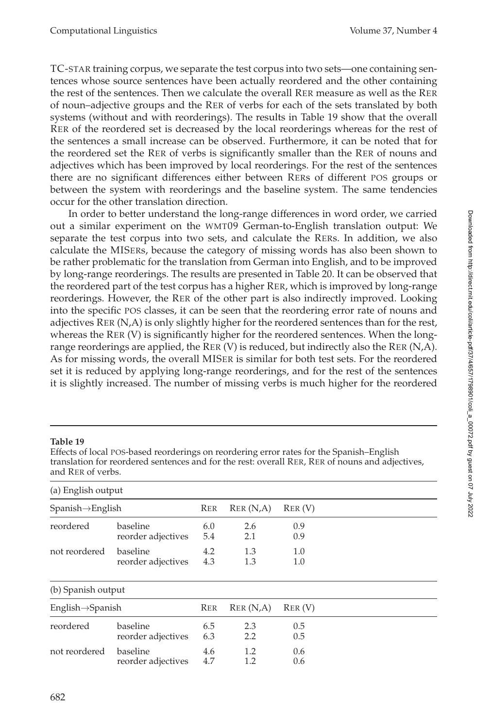TC-STAR training corpus, we separate the test corpus into two sets—one containing sentences whose source sentences have been actually reordered and the other containing the rest of the sentences. Then we calculate the overall RER measure as well as the RER of noun–adjective groups and the RER of verbs for each of the sets translated by both systems (without and with reorderings). The results in Table 19 show that the overall RER of the reordered set is decreased by the local reorderings whereas for the rest of the sentences a small increase can be observed. Furthermore, it can be noted that for the reordered set the RER of verbs is significantly smaller than the RER of nouns and adjectives which has been improved by local reorderings. For the rest of the sentences there are no significant differences either between RERs of different POS groups or between the system with reorderings and the baseline system. The same tendencies occur for the other translation direction.

In order to better understand the long-range differences in word order, we carried out a similar experiment on the WMT09 German-to-English translation output: We separate the test corpus into two sets, and calculate the RERs. In addition, we also calculate the MISERs, because the category of missing words has also been shown to be rather problematic for the translation from German into English, and to be improved by long-range reorderings. The results are presented in Table 20. It can be observed that the reordered part of the test corpus has a higher RER, which is improved by long-range reorderings. However, the RER of the other part is also indirectly improved. Looking into the specific POS classes, it can be seen that the reordering error rate of nouns and adjectives RER (N,A) is only slightly higher for the reordered sentences than for the rest, whereas the RER (V) is significantly higher for the reordered sentences. When the longrange reorderings are applied, the RER (V) is reduced, but indirectly also the RER (N,A). As for missing words, the overall MISER is similar for both test sets. For the reordered set it is reduced by applying long-range reorderings, and for the rest of the sentences it is slightly increased. The number of missing verbs is much higher for the reordered

#### **Table 19**

Effects of local POS-based reorderings on reordering error rates for the Spanish–English translation for reordered sentences and for the rest: overall RER, RER of nouns and adjectives, and RER of verbs.

| (a) English output            |                                |            |            |            |  |
|-------------------------------|--------------------------------|------------|------------|------------|--|
| $Spanish \rightarrow English$ |                                | RER        | RER(N,A)   | $RER$ (V)  |  |
| reordered                     | baseline<br>reorder adjectives | 6.0<br>5.4 | 2.6<br>2.1 | 0.9<br>0.9 |  |
| not reordered                 | baseline<br>reorder adjectives | 4.2<br>4.3 | 1.3<br>1.3 | 1.0<br>1.0 |  |
| (b) Spanish output            |                                |            |            |            |  |
| English $\rightarrow$ Spanish |                                | RER        | RER(N,A)   | $RER$ (V)  |  |
| reordered                     | baseline<br>reorder adjectives | 6.5<br>6.3 | 2.3<br>2.2 | 0.5<br>0.5 |  |
| not reordered                 | baseline<br>reorder adjectives | 4.6<br>4.7 | 1.2<br>1.2 | 0.6<br>0.6 |  |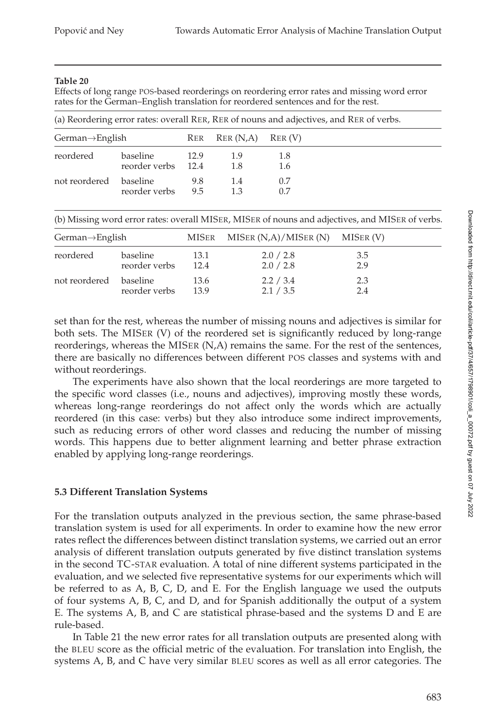Effects of long range POS-based reorderings on reordering error rates and missing word error rates for the German–English translation for reordered sentences and for the rest.

| (a) Reordering error rates: overall RER, RER of nouns and adjectives, and RER of verbs. |                                |                       |             |            |  |  |  |  |  |
|-----------------------------------------------------------------------------------------|--------------------------------|-----------------------|-------------|------------|--|--|--|--|--|
| $German \rightarrow English$                                                            |                                | RER $RER(N,A)$ RER(V) |             |            |  |  |  |  |  |
| reordered                                                                               | baseline<br>reorder verbs 12.4 | 12.9                  | -1.9<br>1.8 | 1.8<br>1.6 |  |  |  |  |  |
| not reordered<br><b>baseline</b><br>reorder verbs 9.5                                   |                                | 9.8                   | 1.4<br>1.3  | 0.7<br>0.7 |  |  |  |  |  |

| (b) Missing word error rates: overall MISER, MISER of nouns and adjectives, and MISER of verbs. |  |  |
|-------------------------------------------------------------------------------------------------|--|--|

| $German \rightarrow$ English |                           | MISER        | MISER $(N,A)/M$ ISER $(N)$ MISER $(V)$ |            |  |
|------------------------------|---------------------------|--------------|----------------------------------------|------------|--|
| reordered                    | baseline<br>reorder verbs | 13.1<br>12.4 | 2.0 / 2.8<br>2.0 / 2.8                 | 3.5<br>2.9 |  |
| not reordered                | baseline<br>reorder verbs | 13.6<br>13.9 | 2.2 / 3.4<br>2.1 / 3.5                 | 2.3<br>2.4 |  |

set than for the rest, whereas the number of missing nouns and adjectives is similar for both sets. The MISER (V) of the reordered set is significantly reduced by long-range reorderings, whereas the MISER (N,A) remains the same. For the rest of the sentences, there are basically no differences between different POS classes and systems with and without reorderings.

The experiments have also shown that the local reorderings are more targeted to the specific word classes (i.e., nouns and adjectives), improving mostly these words, whereas long-range reorderings do not affect only the words which are actually reordered (in this case: verbs) but they also introduce some indirect improvements, such as reducing errors of other word classes and reducing the number of missing words. This happens due to better alignment learning and better phrase extraction enabled by applying long-range reorderings.

# **5.3 Different Translation Systems**

For the translation outputs analyzed in the previous section, the same phrase-based translation system is used for all experiments. In order to examine how the new error rates reflect the differences between distinct translation systems, we carried out an error analysis of different translation outputs generated by five distinct translation systems in the second TC-STAR evaluation. A total of nine different systems participated in the evaluation, and we selected five representative systems for our experiments which will be referred to as A, B, C, D, and E. For the English language we used the outputs of four systems A, B, C, and D, and for Spanish additionally the output of a system E. The systems A, B, and C are statistical phrase-based and the systems D and E are rule-based.

In Table 21 the new error rates for all translation outputs are presented along with the BLEU score as the official metric of the evaluation. For translation into English, the systems A, B, and C have very similar BLEU scores as well as all error categories. The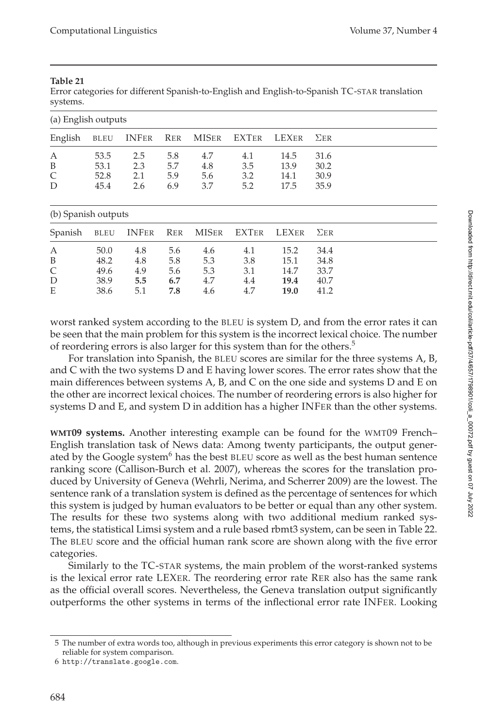Error categories for different Spanish-to-English and English-to-Spanish TC-STAR translation systems.

| (a) English outputs                            |                                      |                                 |                                 |                                 |                                 |                                      |                                      |  |  |  |
|------------------------------------------------|--------------------------------------|---------------------------------|---------------------------------|---------------------------------|---------------------------------|--------------------------------------|--------------------------------------|--|--|--|
| English                                        | <b>BLEU</b>                          | <b>INFER</b>                    | Rer                             | <b>MISER</b>                    | <b>EXTER</b>                    | <b>LEXER</b>                         | $\Sigma$ ER                          |  |  |  |
| А<br>B<br>$\mathsf{C}$<br>D                    | 53.5<br>53.1<br>52.8<br>45.4         | 2.5<br>2.3<br>2.1<br>2.6        | 5.8<br>5.7<br>5.9<br>6.9        | 4.7<br>4.8<br>5.6<br>3.7        | 4.1<br>3.5<br>3.2<br>5.2        | 14.5<br>13.9<br>14.1<br>17.5         | 31.6<br>30.2<br>30.9<br>35.9         |  |  |  |
| (b) Spanish outputs                            |                                      |                                 |                                 |                                 |                                 |                                      |                                      |  |  |  |
| Spanish                                        | <b>BLEU</b>                          | <b>INFER</b>                    | RER                             | <b>MISER</b>                    | <b>EXTER</b>                    | <b>LEXER</b>                         | $\Sigma$ ER                          |  |  |  |
| $\boldsymbol{A}$<br>B<br>$\mathsf C$<br>D<br>E | 50.0<br>48.2<br>49.6<br>38.9<br>38.6 | 4.8<br>4.8<br>4.9<br>5.5<br>5.1 | 5.6<br>5.8<br>5.6<br>6.7<br>7.8 | 4.6<br>5.3<br>5.3<br>4.7<br>4.6 | 4.1<br>3.8<br>3.1<br>4.4<br>4.7 | 15.2<br>15.1<br>14.7<br>19.4<br>19.0 | 34.4<br>34.8<br>33.7<br>40.7<br>41.2 |  |  |  |

worst ranked system according to the BLEU is system D, and from the error rates it can be seen that the main problem for this system is the incorrect lexical choice. The number of reordering errors is also larger for this system than for the others.<sup>5</sup>

For translation into Spanish, the BLEU scores are similar for the three systems A, B, and C with the two systems D and E having lower scores. The error rates show that the main differences between systems A, B, and C on the one side and systems D and E on the other are incorrect lexical choices. The number of reordering errors is also higher for systems D and E, and system D in addition has a higher INFER than the other systems.

**WMT09 systems.** Another interesting example can be found for the WMT09 French– English translation task of News data: Among twenty participants, the output generated by the Google system $^6$  has the best BLEU score as well as the best human sentence ranking score (Callison-Burch et al. 2007), whereas the scores for the translation produced by University of Geneva (Wehrli, Nerima, and Scherrer 2009) are the lowest. The sentence rank of a translation system is defined as the percentage of sentences for which this system is judged by human evaluators to be better or equal than any other system. The results for these two systems along with two additional medium ranked systems, the statistical Limsi system and a rule based rbmt3 system, can be seen in Table 22. The BLEU score and the official human rank score are shown along with the five error categories.

Similarly to the TC-STAR systems, the main problem of the worst-ranked systems is the lexical error rate LEXER. The reordering error rate RER also has the same rank as the official overall scores. Nevertheless, the Geneva translation output significantly outperforms the other systems in terms of the inflectional error rate INFER. Looking

<sup>5</sup> The number of extra words too, although in previous experiments this error category is shown not to be reliable for system comparison.

<sup>6</sup> http://translate.google.com.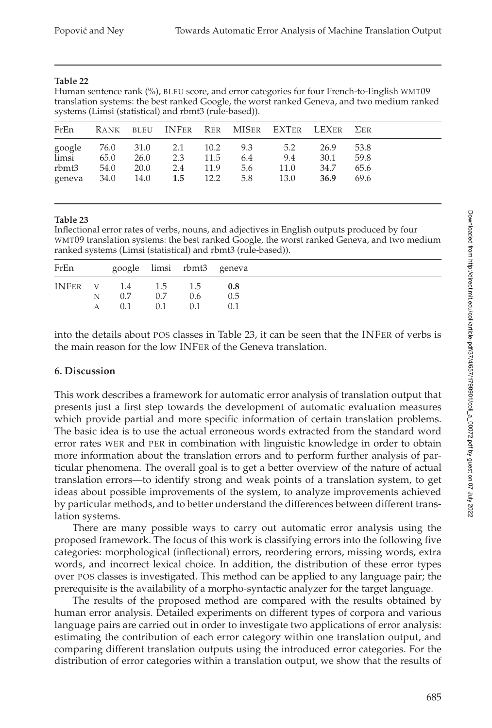Human sentence rank (%), BLEU score, and error categories for four French-to-English WMT09 translation systems: the best ranked Google, the worst ranked Geneva, and two medium ranked systems (Limsi (statistical) and rbmt3 (rule-based)).

| FrEn            |      |      |                           |      |                                                                             |                            | RANK BLEU INFER RER MISER EXTER LEXER ∑ER |                              |
|-----------------|------|------|---------------------------|------|-----------------------------------------------------------------------------|----------------------------|-------------------------------------------|------------------------------|
| rbmt3<br>geneva | 54.0 | 20.0 | 2.4<br>34.0 14.0 1.5 12.2 | 11.9 | google 76.0 31.0 2.1 10.2 9.3<br>limsi 65.0 26.0 2.3 11.5 6.4<br>5.6<br>5.8 | 5.2<br>9.4<br>11.0<br>13.0 | 26.9<br>30.1<br>34.7<br>36.9              | 53.8<br>59.8<br>65.6<br>69.6 |

## **Table 23**

Inflectional error rates of verbs, nouns, and adjectives in English outputs produced by four WMT09 translation systems: the best ranked Google, the worst ranked Geneva, and two medium ranked systems (Limsi (statistical) and rbmt3 (rule-based)).

| FrEn |   | google limsi rbmt3 geneva               |     |                         |                   |  |
|------|---|-----------------------------------------|-----|-------------------------|-------------------|--|
|      | A | INFER v 1.4 1.5 1.5<br>$N = 0.7$<br>0.1 | 0.7 | 0.6<br>$0.1 \qquad 0.1$ | 0.8<br>0.5<br>0.1 |  |

into the details about POS classes in Table 23, it can be seen that the INFER of verbs is the main reason for the low INFER of the Geneva translation.

## **6. Discussion**

This work describes a framework for automatic error analysis of translation output that presents just a first step towards the development of automatic evaluation measures which provide partial and more specific information of certain translation problems. The basic idea is to use the actual erroneous words extracted from the standard word error rates WER and PER in combination with linguistic knowledge in order to obtain more information about the translation errors and to perform further analysis of particular phenomena. The overall goal is to get a better overview of the nature of actual translation errors—to identify strong and weak points of a translation system, to get ideas about possible improvements of the system, to analyze improvements achieved by particular methods, and to better understand the differences between different translation systems.

There are many possible ways to carry out automatic error analysis using the proposed framework. The focus of this work is classifying errors into the following five categories: morphological (inflectional) errors, reordering errors, missing words, extra words, and incorrect lexical choice. In addition, the distribution of these error types over POS classes is investigated. This method can be applied to any language pair; the prerequisite is the availability of a morpho-syntactic analyzer for the target language.

The results of the proposed method are compared with the results obtained by human error analysis. Detailed experiments on different types of corpora and various language pairs are carried out in order to investigate two applications of error analysis: estimating the contribution of each error category within one translation output, and comparing different translation outputs using the introduced error categories. For the distribution of error categories within a translation output, we show that the results of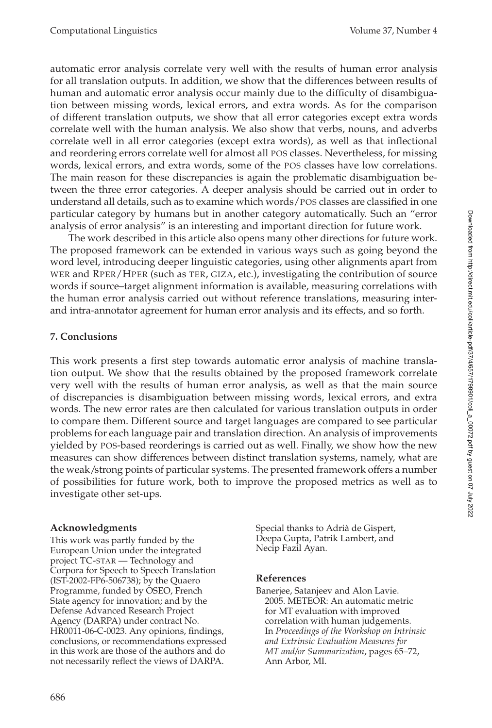automatic error analysis correlate very well with the results of human error analysis for all translation outputs. In addition, we show that the differences between results of human and automatic error analysis occur mainly due to the difficulty of disambiguation between missing words, lexical errors, and extra words. As for the comparison of different translation outputs, we show that all error categories except extra words correlate well with the human analysis. We also show that verbs, nouns, and adverbs correlate well in all error categories (except extra words), as well as that inflectional and reordering errors correlate well for almost all POS classes. Nevertheless, for missing words, lexical errors, and extra words, some of the POS classes have low correlations. The main reason for these discrepancies is again the problematic disambiguation between the three error categories. A deeper analysis should be carried out in order to understand all details, such as to examine which words/POS classes are classified in one particular category by humans but in another category automatically. Such an "error analysis of error analysis" is an interesting and important direction for future work.

The work described in this article also opens many other directions for future work. The proposed framework can be extended in various ways such as going beyond the word level, introducing deeper linguistic categories, using other alignments apart from WER and RPER/HPER (such as TER, GIZA, etc.), investigating the contribution of source words if source–target alignment information is available, measuring correlations with the human error analysis carried out without reference translations, measuring interand intra-annotator agreement for human error analysis and its effects, and so forth.

# **7. Conclusions**

This work presents a first step towards automatic error analysis of machine translation output. We show that the results obtained by the proposed framework correlate very well with the results of human error analysis, as well as that the main source of discrepancies is disambiguation between missing words, lexical errors, and extra words. The new error rates are then calculated for various translation outputs in order to compare them. Different source and target languages are compared to see particular problems for each language pair and translation direction. An analysis of improvements yielded by POS-based reorderings is carried out as well. Finally, we show how the new measures can show differences between distinct translation systems, namely, what are the weak/strong points of particular systems. The presented framework offers a number of possibilities for future work, both to improve the proposed metrics as well as to investigate other set-ups.

# **Acknowledgments**

This work was partly funded by the European Union under the integrated project TC-STAR — Technology and Corpora for Speech to Speech Translation (IST-2002-FP6-506738); by the Quaero Programme, funded by OSEO, French State agency for innovation; and by the Defense Advanced Research Project Agency (DARPA) under contract No. HR0011-06-C-0023. Any opinions, findings, conclusions, or recommendations expressed in this work are those of the authors and do not necessarily reflect the views of DARPA.

Special thanks to Adria de Gispert, ` Deepa Gupta, Patrik Lambert, and Necip Fazil Ayan.

# **References**

Banerjee, Satanjeev and Alon Lavie. 2005. METEOR: An automatic metric for MT evaluation with improved correlation with human judgements. In *Proceedings of the Workshop on Intrinsic and Extrinsic Evaluation Measures for MT and/or Summarization*, pages 65–72, Ann Arbor, MI.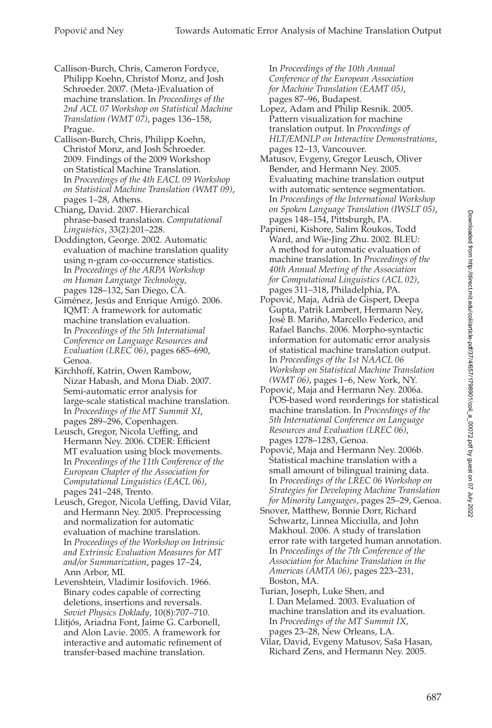- Callison-Burch, Chris, Cameron Fordyce, Philipp Koehn, Christof Monz, and Josh Schroeder. 2007. (Meta-)Evaluation of machine translation. In *Proceedings of the 2nd ACL 07 Workshop on Statistical Machine Translation (WMT 07)*, pages 136–158, Prague.
- Callison-Burch, Chris, Philipp Koehn, Christof Monz, and Josh Schroeder. 2009. Findings of the 2009 Workshop on Statistical Machine Translation. In *Proceedings of the 4th EACL 09 Workshop on Statistical Machine Translation (WMT 09)*, pages 1–28, Athens.
- Chiang, David. 2007. Hierarchical phrase-based translation. *Computational Linguistics*, 33(2):201–228.
- Doddington, George. 2002. Automatic evaluation of machine translation quality using n-gram co-occurrence statistics. In *Proceedings of the ARPA Workshop on Human Language Technology*, pages 128–132, San Diego, CA.
- Giménez, Jesús and Enrique Amigó. 2006. IQMT: A framework for automatic machine translation evaluation. In *Proceedings of the 5th International Conference on Language Resources and Evaluation (LREC 06)*, pages 685–690, Genoa.
- Kirchhoff, Katrin, Owen Rambow, Nizar Habash, and Mona Diab. 2007. Semi-automatic error analysis for large-scale statistical machine translation. In *Proceedings of the MT Summit XI*, pages 289–296, Copenhagen.
- Leusch, Gregor, Nicola Ueffing, and Hermann Ney. 2006. CDER: Efficient MT evaluation using block movements. In *Proceedings of the 11th Conference of the European Chapter of the Association for Computational Linguistics (EACL 06)*, pages 241–248, Trento.
- Leusch, Gregor, Nicola Ueffing, David Vilar, and Hermann Ney. 2005. Preprocessing and normalization for automatic evaluation of machine translation. In *Proceedings of the Workshop on Intrinsic and Extrinsic Evaluation Measures for MT and/or Summarization*, pages 17–24, Ann Arbor, MI.
- Levenshtein, Vladimir Iosifovich. 1966. Binary codes capable of correcting deletions, insertions and reversals. *Soviet Physics Doklady*, 10(8):707–710.
- Llitjós, Ariadna Font, Jaime G. Carbonell, and Alon Lavie. 2005. A framework for interactive and automatic refinement of transfer-based machine translation.

In *Proceedings of the 10th Annual Conference of the European Association for Machine Translation (EAMT 05)*, pages 87–96, Budapest.

- Lopez, Adam and Philip Resnik. 2005. Pattern visualization for machine translation output. In *Proceedings of HLT/EMNLP on Interactive Demonstrations*, pages 12–13, Vancouver.
- Matusov, Evgeny, Gregor Leusch, Oliver Bender, and Hermann Ney. 2005. Evaluating machine translation output with automatic sentence segmentation. In *Proceedings of the International Workshop on Spoken Language Translation (IWSLT 05)*, pages 148–154, Pittsburgh, PA.
- Papineni, Kishore, Salim Roukos, Todd Ward, and Wie-Jing Zhu. 2002. BLEU: A method for automatic evaluation of machine translation. In *Proceedings of the 40th Annual Meeting of the Association for Computational Linguistics (ACL 02)*, pages 311–318, Philadelphia, PA.
- Popović, Maja, Adrià de Gispert, Deepa Gupta, Patrik Lambert, Hermann Ney, José B. Mariño, Marcello Federico, and Rafael Banchs. 2006. Morpho-syntactic information for automatic error analysis of statistical machine translation output. In *Proceedings of the 1st NAACL 06 Workshop on Statistical Machine Translation (WMT 06)*, pages 1–6, New York, NY.
- Popović, Maja and Hermann Ney. 2006a. POS-based word reorderings for statistical machine translation. In *Proceedings of the 5th International Conference on Language Resources and Evaluation (LREC 06)*, pages 1278–1283, Genoa.
- Popović, Maja and Hermann Ney. 2006b. Statistical machine translation with a small amount of bilingual training data. In *Proceedings of the LREC 06 Workshop on Strategies for Developing Machine Translation for Minority Languages*, pages 25–29, Genoa.
- Snover, Matthew, Bonnie Dorr, Richard Schwartz, Linnea Micciulla, and John Makhoul. 2006. A study of translation error rate with targeted human annotation. In *Proceedings of the 7th Conference of the Association for Machine Translation in the Americas (AMTA 06)*, pages 223–231, Boston, MA.
- Turian, Joseph, Luke Shen, and I. Dan Melamed. 2003. Evaluation of machine translation and its evaluation. In *Proceedings of the MT Summit IX*, pages 23–28, New Orleans, LA.
- Vilar, David, Evgeny Matusov, Saša Hasan, Richard Zens, and Hermann Ney. 2005.